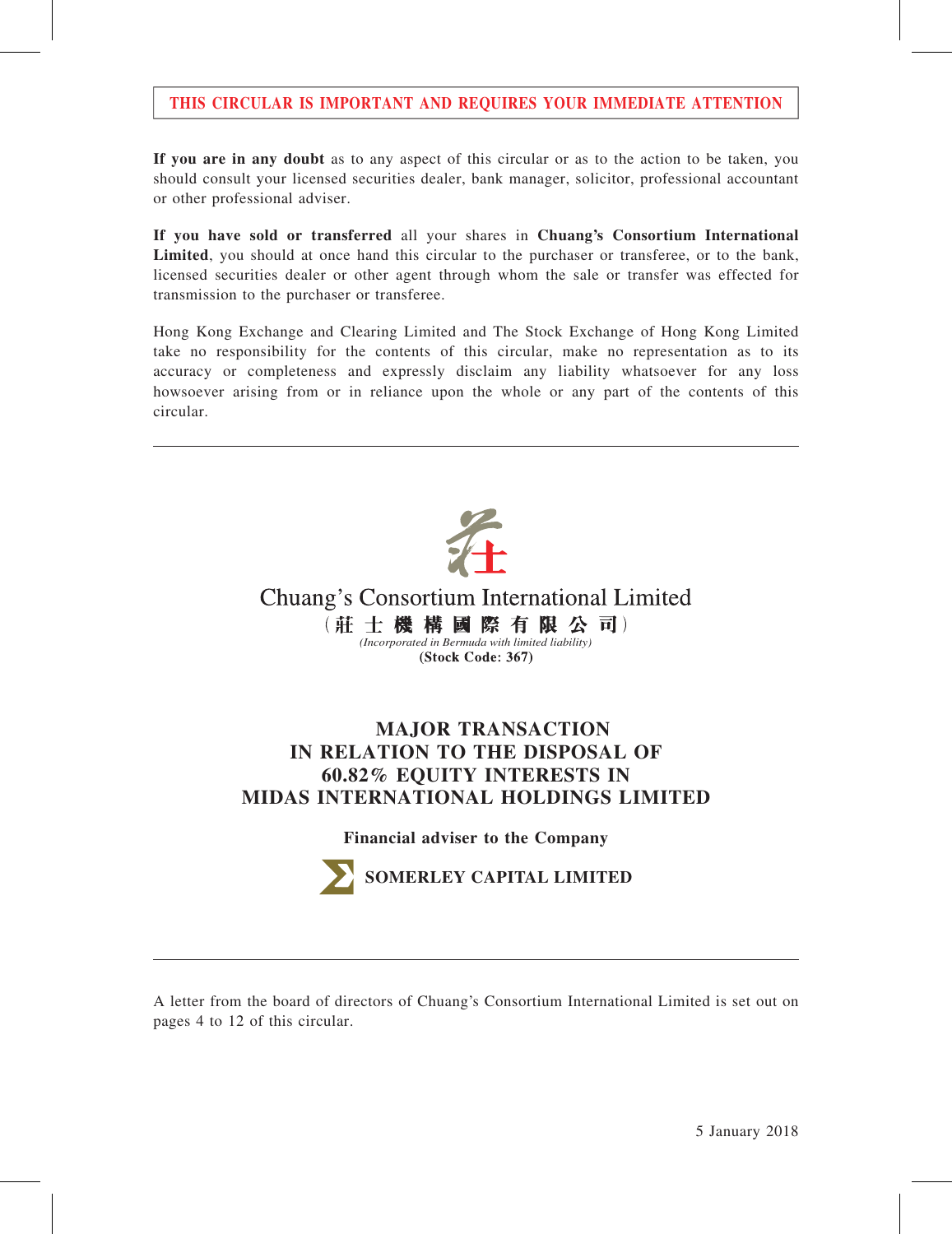# THIS CIRCULAR IS IMPORTANT AND REQUIRES YOUR IMMEDIATE ATTENTION

If you are in any doubt as to any aspect of this circular or as to the action to be taken, you should consult your licensed securities dealer, bank manager, solicitor, professional accountant or other professional adviser.

If you have sold or transferred all your shares in Chuang's Consortium International Limited, you should at once hand this circular to the purchaser or transferee, or to the bank, licensed securities dealer or other agent through whom the sale or transfer was effected for transmission to the purchaser or transferee.

Hong Kong Exchange and Clearing Limited and The Stock Exchange of Hong Kong Limited take no responsibility for the contents of this circular, make no representation as to its accuracy or completeness and expressly disclaim any liability whatsoever for any loss howsoever arising from or in reliance upon the whole or any part of the contents of this circular.



A letter from the board of directors of Chuang's Consortium International Limited is set out on pages 4 to 12 of this circular.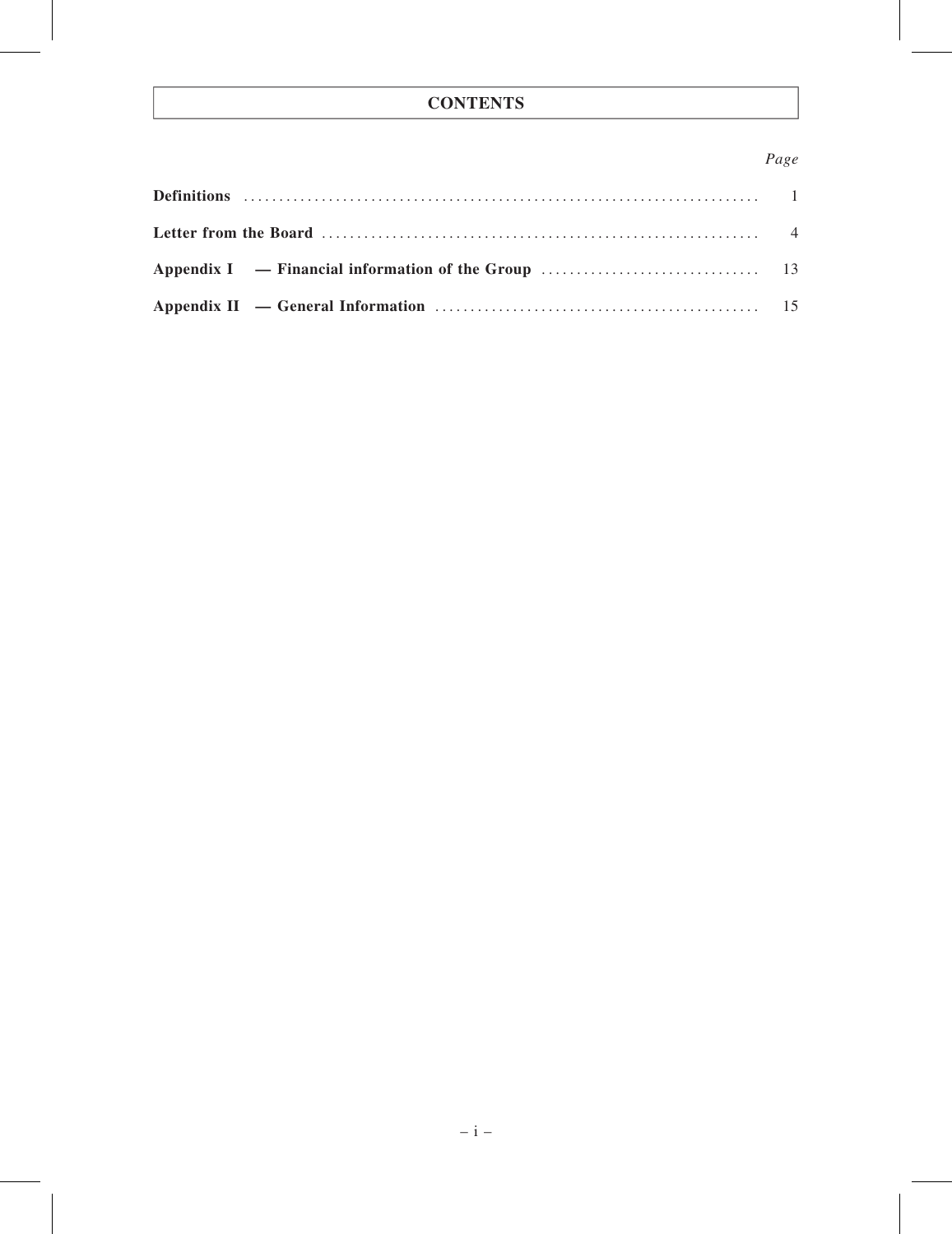# **CONTENTS**

# Page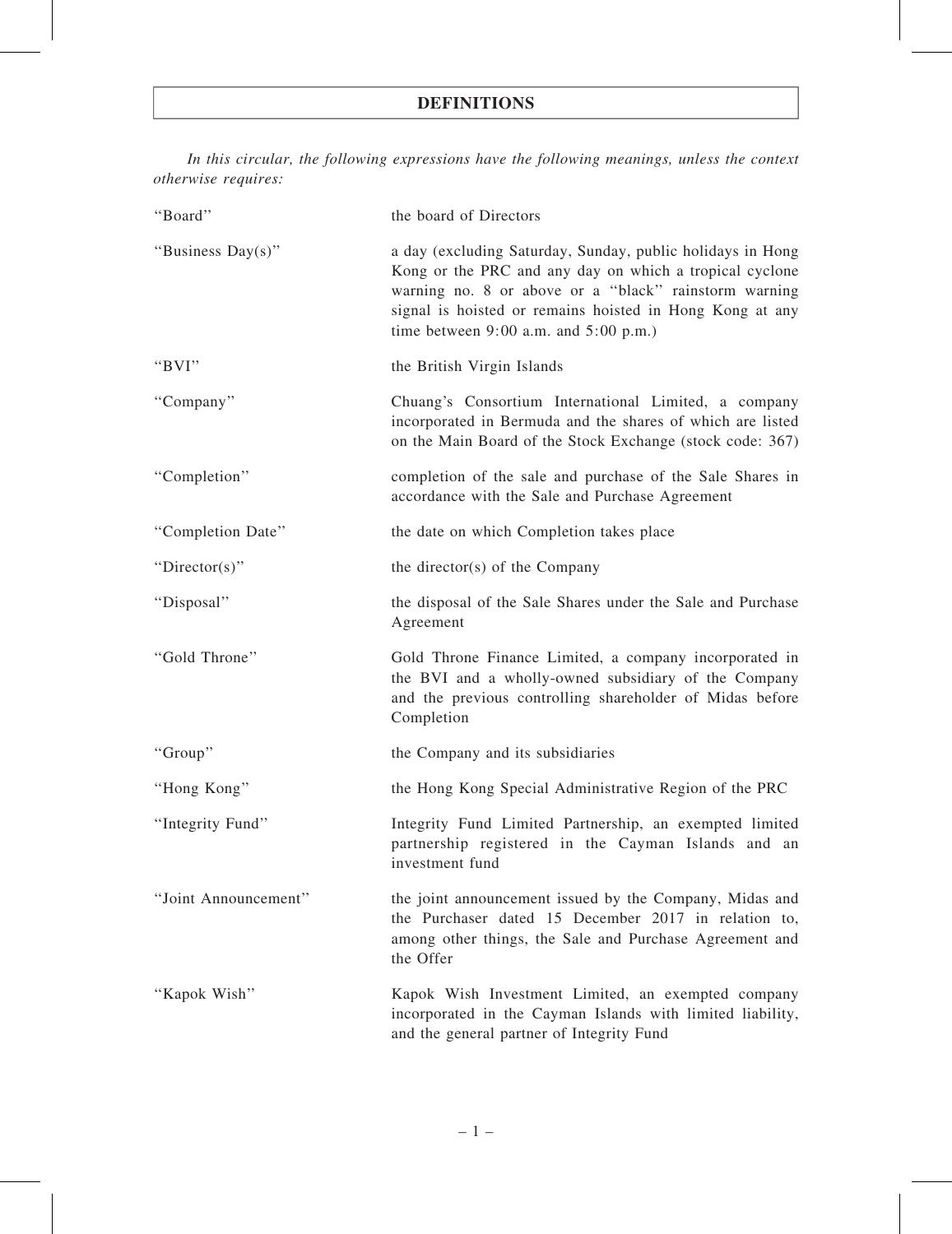# DEFINITIONS

In this circular, the following expressions have the following meanings, unless the context otherwise requires:

| "Board"              | the board of Directors                                                                                                                                                                                                                                                                  |
|----------------------|-----------------------------------------------------------------------------------------------------------------------------------------------------------------------------------------------------------------------------------------------------------------------------------------|
| "Business Day(s)"    | a day (excluding Saturday, Sunday, public holidays in Hong<br>Kong or the PRC and any day on which a tropical cyclone<br>warning no. 8 or above or a "black" rainstorm warning<br>signal is hoisted or remains hoisted in Hong Kong at any<br>time between $9:00$ a.m. and $5:00$ p.m.) |
| "BVI"                | the British Virgin Islands                                                                                                                                                                                                                                                              |
| "Company"            | Chuang's Consortium International Limited, a company<br>incorporated in Bermuda and the shares of which are listed<br>on the Main Board of the Stock Exchange (stock code: 367)                                                                                                         |
| "Completion"         | completion of the sale and purchase of the Sale Shares in<br>accordance with the Sale and Purchase Agreement                                                                                                                                                                            |
| "Completion Date"    | the date on which Completion takes place                                                                                                                                                                                                                                                |
| "Director(s)"        | the director(s) of the Company                                                                                                                                                                                                                                                          |
| "Disposal"           | the disposal of the Sale Shares under the Sale and Purchase<br>Agreement                                                                                                                                                                                                                |
| "Gold Throne"        | Gold Throne Finance Limited, a company incorporated in<br>the BVI and a wholly-owned subsidiary of the Company<br>and the previous controlling shareholder of Midas before<br>Completion                                                                                                |
| "Group"              | the Company and its subsidiaries                                                                                                                                                                                                                                                        |
| "Hong Kong"          | the Hong Kong Special Administrative Region of the PRC                                                                                                                                                                                                                                  |
| "Integrity Fund"     | Integrity Fund Limited Partnership, an exempted limited<br>partnership registered in the Cayman Islands and an<br>investment fund                                                                                                                                                       |
| "Joint Announcement" | the joint announcement issued by the Company, Midas and<br>the Purchaser dated 15 December 2017 in relation to,<br>among other things, the Sale and Purchase Agreement and<br>the Offer                                                                                                 |
| "Kapok Wish"         | Kapok Wish Investment Limited, an exempted company<br>incorporated in the Cayman Islands with limited liability,<br>and the general partner of Integrity Fund                                                                                                                           |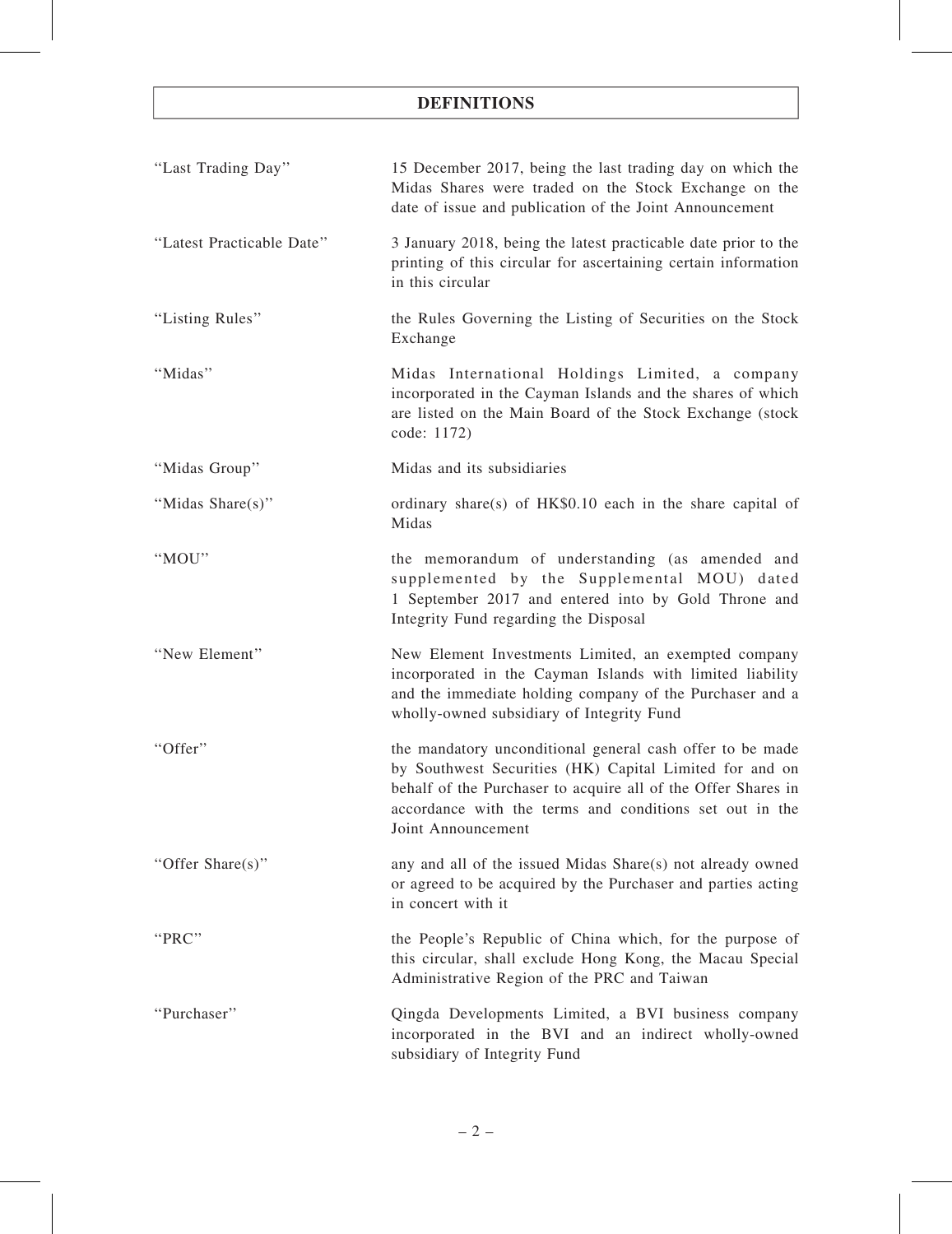# DEFINITIONS

| "Last Trading Day"        | 15 December 2017, being the last trading day on which the<br>Midas Shares were traded on the Stock Exchange on the<br>date of issue and publication of the Joint Announcement                                                                                          |
|---------------------------|------------------------------------------------------------------------------------------------------------------------------------------------------------------------------------------------------------------------------------------------------------------------|
| "Latest Practicable Date" | 3 January 2018, being the latest practicable date prior to the<br>printing of this circular for ascertaining certain information<br>in this circular                                                                                                                   |
| "Listing Rules"           | the Rules Governing the Listing of Securities on the Stock<br>Exchange                                                                                                                                                                                                 |
| "Midas"                   | Midas International Holdings Limited, a company<br>incorporated in the Cayman Islands and the shares of which<br>are listed on the Main Board of the Stock Exchange (stock<br>code: 1172)                                                                              |
| "Midas Group"             | Midas and its subsidiaries                                                                                                                                                                                                                                             |
| "Midas Share(s)"          | ordinary share(s) of HK\$0.10 each in the share capital of<br>Midas                                                                                                                                                                                                    |
| "MOU"                     | the memorandum of understanding (as amended and<br>supplemented by the Supplemental MOU) dated<br>1 September 2017 and entered into by Gold Throne and<br>Integrity Fund regarding the Disposal                                                                        |
| "New Element"             | New Element Investments Limited, an exempted company<br>incorporated in the Cayman Islands with limited liability<br>and the immediate holding company of the Purchaser and a<br>wholly-owned subsidiary of Integrity Fund                                             |
| "Offer"                   | the mandatory unconditional general cash offer to be made<br>by Southwest Securities (HK) Capital Limited for and on<br>behalf of the Purchaser to acquire all of the Offer Shares in<br>accordance with the terms and conditions set out in the<br>Joint Announcement |
| "Offer Share(s)"          | any and all of the issued Midas Share(s) not already owned<br>or agreed to be acquired by the Purchaser and parties acting<br>in concert with it                                                                                                                       |
| "PRC"                     | the People's Republic of China which, for the purpose of<br>this circular, shall exclude Hong Kong, the Macau Special<br>Administrative Region of the PRC and Taiwan                                                                                                   |
| "Purchaser"               | Qingda Developments Limited, a BVI business company<br>incorporated in the BVI and an indirect wholly-owned<br>subsidiary of Integrity Fund                                                                                                                            |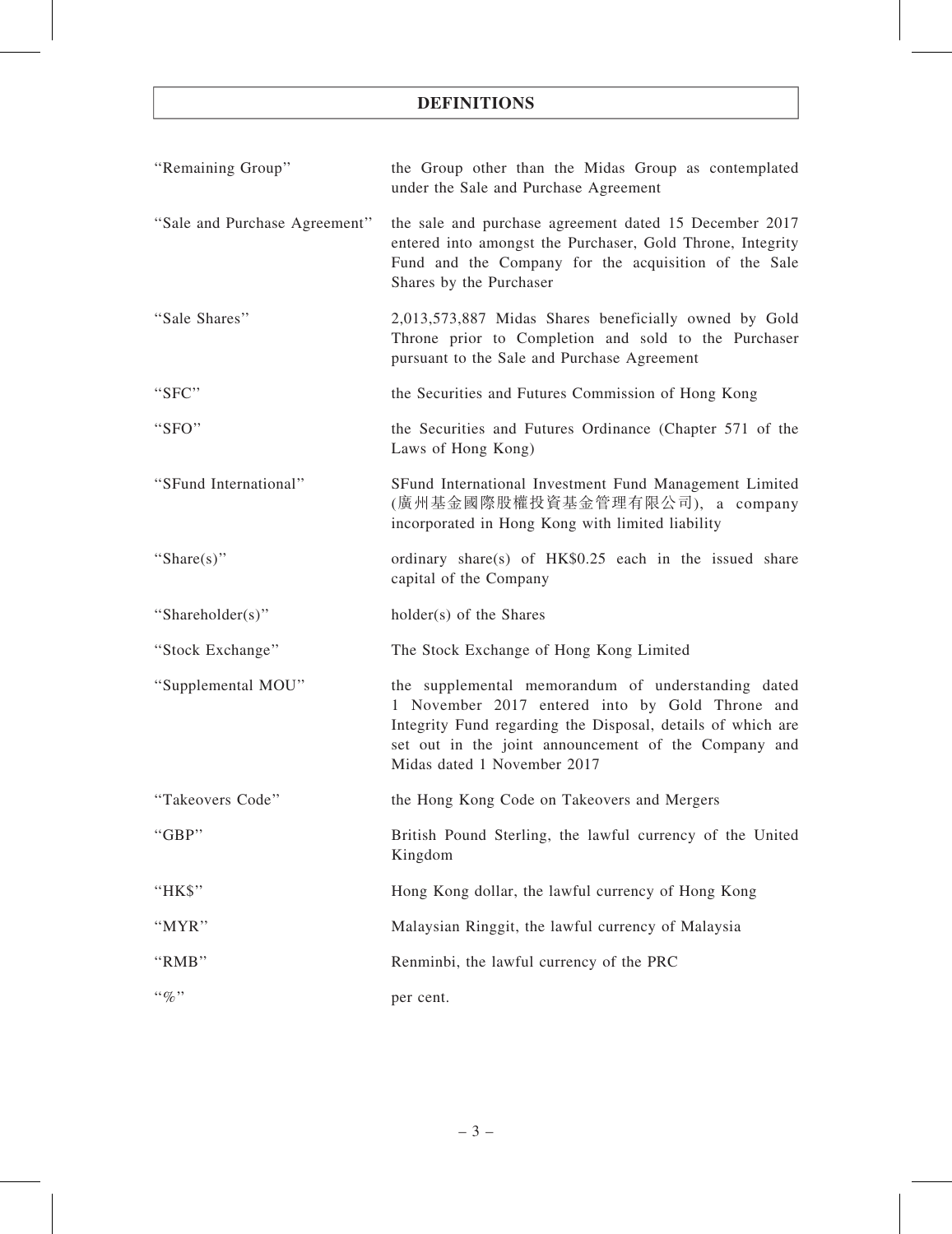# DEFINITIONS

| "Remaining Group"             | the Group other than the Midas Group as contemplated<br>under the Sale and Purchase Agreement                                                                                                                                                               |
|-------------------------------|-------------------------------------------------------------------------------------------------------------------------------------------------------------------------------------------------------------------------------------------------------------|
| "Sale and Purchase Agreement" | the sale and purchase agreement dated 15 December 2017<br>entered into amongst the Purchaser, Gold Throne, Integrity<br>Fund and the Company for the acquisition of the Sale<br>Shares by the Purchaser                                                     |
| "Sale Shares"                 | 2,013,573,887 Midas Shares beneficially owned by Gold<br>Throne prior to Completion and sold to the Purchaser<br>pursuant to the Sale and Purchase Agreement                                                                                                |
| "SFC"                         | the Securities and Futures Commission of Hong Kong                                                                                                                                                                                                          |
| "SFO"                         | the Securities and Futures Ordinance (Chapter 571 of the<br>Laws of Hong Kong)                                                                                                                                                                              |
| "SFund International"         | SFund International Investment Fund Management Limited<br>(廣州基金國際股權投資基金管理有限公司), a company<br>incorporated in Hong Kong with limited liability                                                                                                               |
| "Share(s)"                    | ordinary share(s) of $HK$0.25$ each in the issued share<br>capital of the Company                                                                                                                                                                           |
| "Shareholder(s)"              | holder(s) of the Shares                                                                                                                                                                                                                                     |
| "Stock Exchange"              | The Stock Exchange of Hong Kong Limited                                                                                                                                                                                                                     |
| "Supplemental MOU"            | the supplemental memorandum of understanding dated<br>1 November 2017 entered into by Gold Throne and<br>Integrity Fund regarding the Disposal, details of which are<br>set out in the joint announcement of the Company and<br>Midas dated 1 November 2017 |
| "Takeovers Code"              | the Hong Kong Code on Takeovers and Mergers                                                                                                                                                                                                                 |
| "GBP"                         | British Pound Sterling, the lawful currency of the United<br>Kingdom                                                                                                                                                                                        |
| "HK\$"                        | Hong Kong dollar, the lawful currency of Hong Kong                                                                                                                                                                                                          |
| "MYR"                         | Malaysian Ringgit, the lawful currency of Malaysia                                                                                                                                                                                                          |
| "RMB"                         | Renminbi, the lawful currency of the PRC                                                                                                                                                                                                                    |
| $``\%"$                       | per cent.                                                                                                                                                                                                                                                   |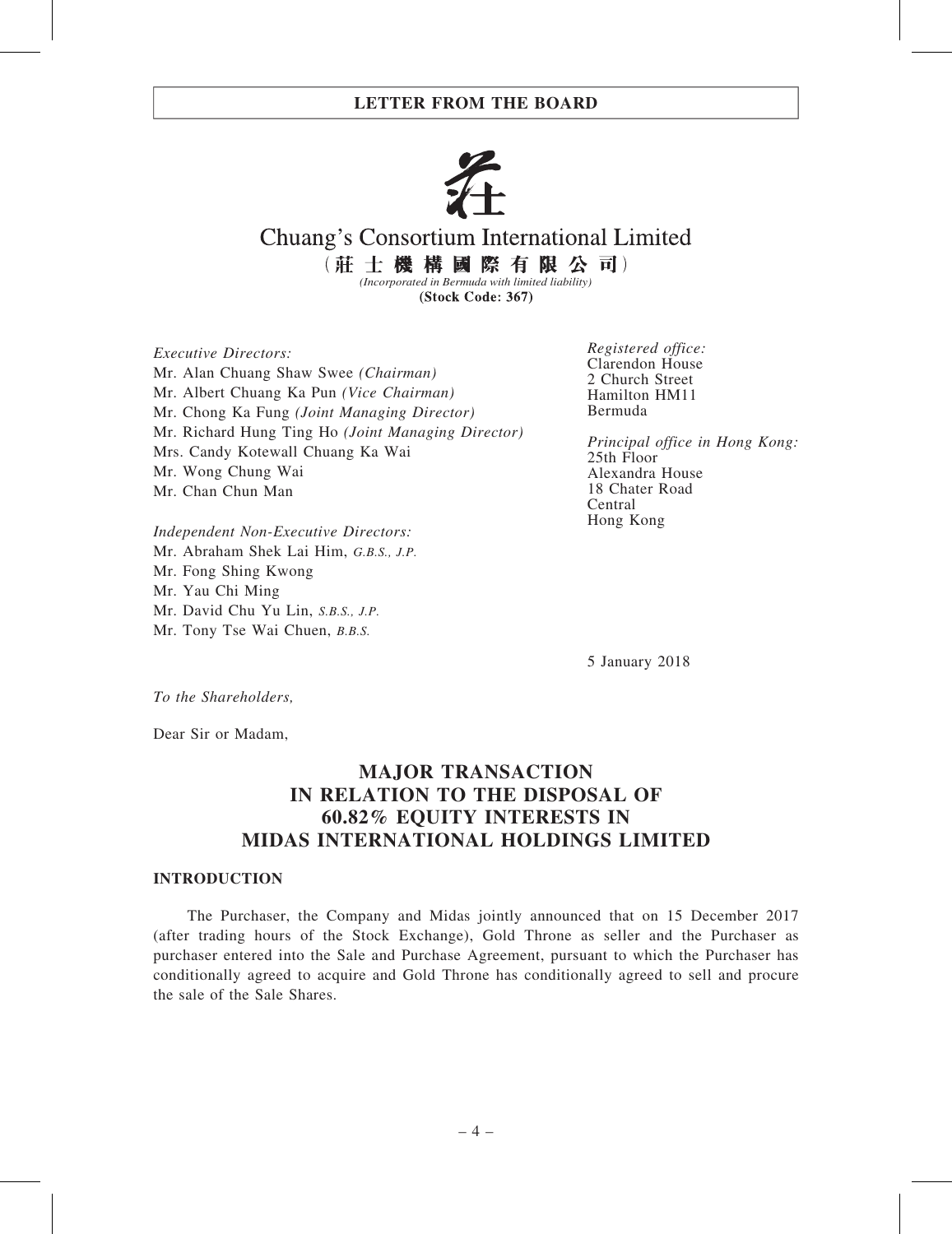

# Chuang's Consortium International Limited

(莊士機構國際有限公司) *(Incorporated in Bermuda with limited liability)*

(Stock Code: 367)

Executive Directors: Mr. Alan Chuang Shaw Swee (Chairman) Mr. Albert Chuang Ka Pun (Vice Chairman) Mr. Chong Ka Fung (Joint Managing Director) Mr. Richard Hung Ting Ho (Joint Managing Director) Mrs. Candy Kotewall Chuang Ka Wai Mr. Wong Chung Wai Mr. Chan Chun Man

Registered office: Clarendon House 2 Church Street Hamilton HM11 Bermuda

Principal office in Hong Kong: 25th Floor Alexandra House 18 Chater Road Central Hong Kong

Independent Non-Executive Directors: Mr. Abraham Shek Lai Him, G.B.S., J.P. Mr. Fong Shing Kwong Mr. Yau Chi Ming Mr. David Chu Yu Lin, S.B.S., J.P. Mr. Tony Tse Wai Chuen, B.B.S.

5 January 2018

To the Shareholders,

Dear Sir or Madam,

# MAJOR TRANSACTION IN RELATION TO THE DISPOSAL OF 60.82% EQUITY INTERESTS IN MIDAS INTERNATIONAL HOLDINGS LIMITED

#### INTRODUCTION

The Purchaser, the Company and Midas jointly announced that on 15 December 2017 (after trading hours of the Stock Exchange), Gold Throne as seller and the Purchaser as purchaser entered into the Sale and Purchase Agreement, pursuant to which the Purchaser has conditionally agreed to acquire and Gold Throne has conditionally agreed to sell and procure the sale of the Sale Shares.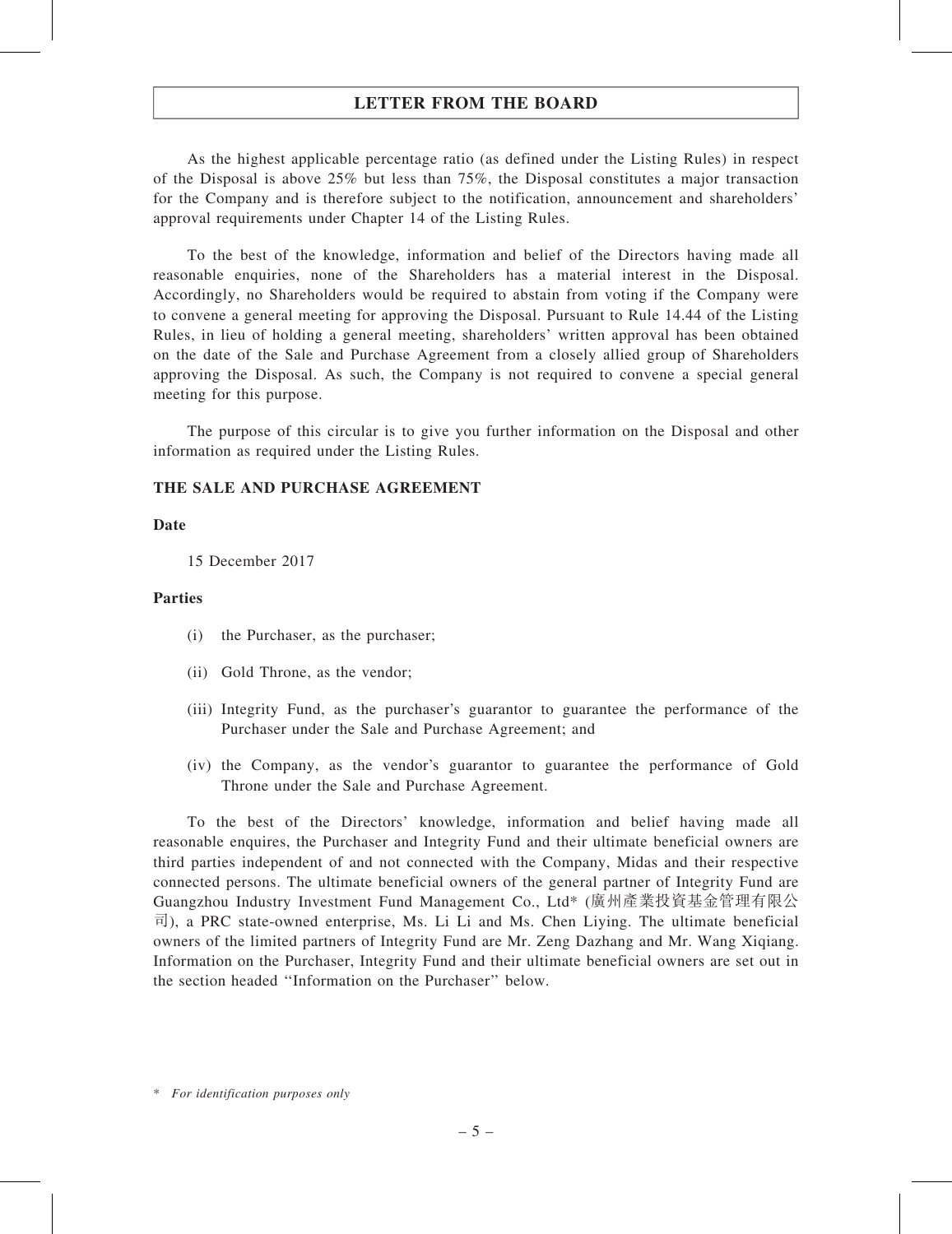As the highest applicable percentage ratio (as defined under the Listing Rules) in respect of the Disposal is above 25% but less than 75%, the Disposal constitutes a major transaction for the Company and is therefore subject to the notification, announcement and shareholders' approval requirements under Chapter 14 of the Listing Rules.

To the best of the knowledge, information and belief of the Directors having made all reasonable enquiries, none of the Shareholders has a material interest in the Disposal. Accordingly, no Shareholders would be required to abstain from voting if the Company were to convene a general meeting for approving the Disposal. Pursuant to Rule 14.44 of the Listing Rules, in lieu of holding a general meeting, shareholders' written approval has been obtained on the date of the Sale and Purchase Agreement from a closely allied group of Shareholders approving the Disposal. As such, the Company is not required to convene a special general meeting for this purpose.

The purpose of this circular is to give you further information on the Disposal and other information as required under the Listing Rules.

#### THE SALE AND PURCHASE AGREEMENT

#### Date

15 December 2017

#### Parties

- (i) the Purchaser, as the purchaser;
- (ii) Gold Throne, as the vendor;
- (iii) Integrity Fund, as the purchaser's guarantor to guarantee the performance of the Purchaser under the Sale and Purchase Agreement; and
- (iv) the Company, as the vendor's guarantor to guarantee the performance of Gold Throne under the Sale and Purchase Agreement.

To the best of the Directors' knowledge, information and belief having made all reasonable enquires, the Purchaser and Integrity Fund and their ultimate beneficial owners are third parties independent of and not connected with the Company, Midas and their respective connected persons. The ultimate beneficial owners of the general partner of Integrity Fund are Guangzhou Industry Investment Fund Management Co., Ltd\* (廣州產業投資基金管理有限公 司), a PRC state-owned enterprise, Ms. Li Li and Ms. Chen Liying. The ultimate beneficial owners of the limited partners of Integrity Fund are Mr. Zeng Dazhang and Mr. Wang Xiqiang. Information on the Purchaser, Integrity Fund and their ultimate beneficial owners are set out in the section headed ''Information on the Purchaser'' below.

<sup>\*</sup> For identification purposes only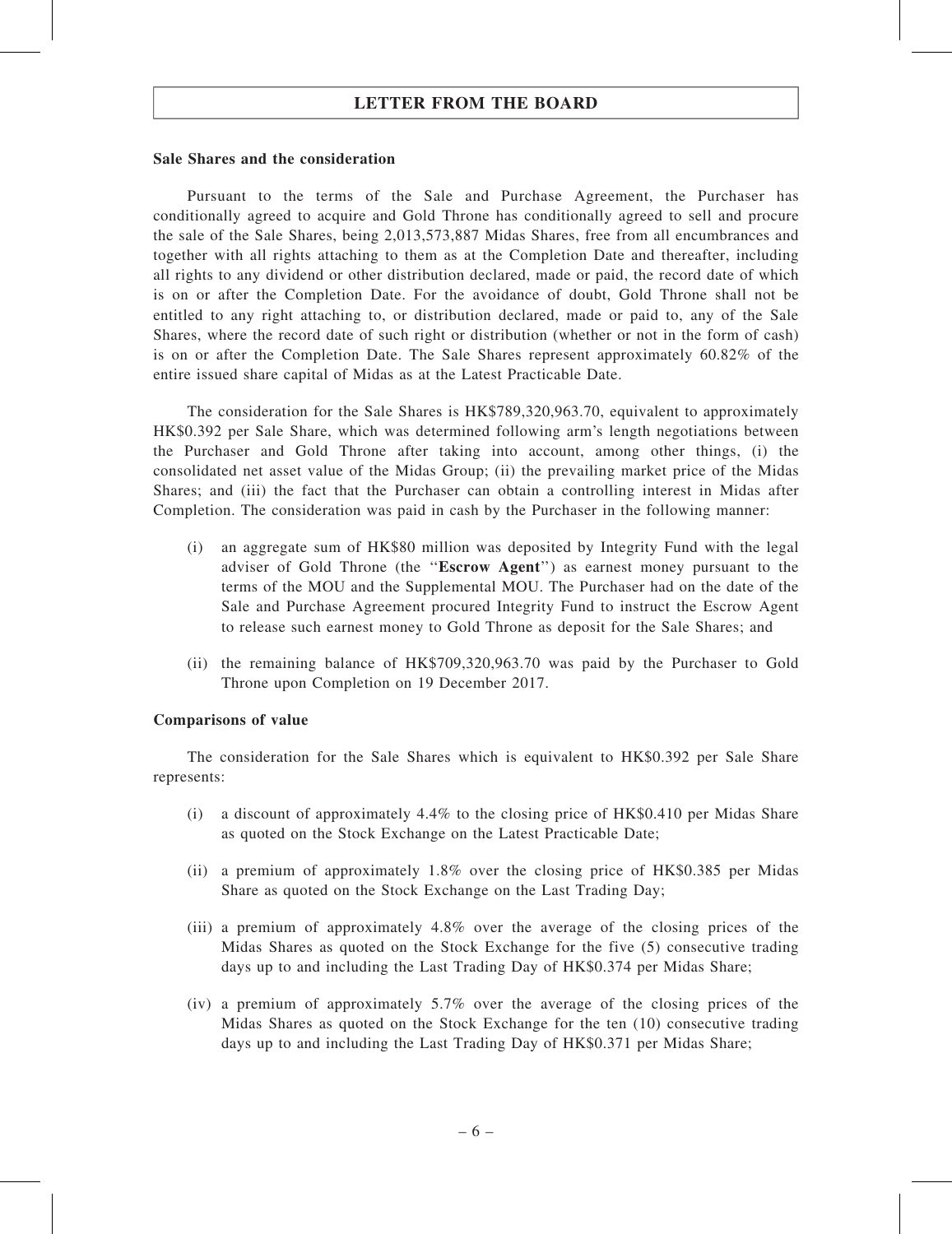#### Sale Shares and the consideration

Pursuant to the terms of the Sale and Purchase Agreement, the Purchaser has conditionally agreed to acquire and Gold Throne has conditionally agreed to sell and procure the sale of the Sale Shares, being 2,013,573,887 Midas Shares, free from all encumbrances and together with all rights attaching to them as at the Completion Date and thereafter, including all rights to any dividend or other distribution declared, made or paid, the record date of which is on or after the Completion Date. For the avoidance of doubt, Gold Throne shall not be entitled to any right attaching to, or distribution declared, made or paid to, any of the Sale Shares, where the record date of such right or distribution (whether or not in the form of cash) is on or after the Completion Date. The Sale Shares represent approximately 60.82% of the entire issued share capital of Midas as at the Latest Practicable Date.

The consideration for the Sale Shares is HK\$789,320,963.70, equivalent to approximately HK\$0.392 per Sale Share, which was determined following arm's length negotiations between the Purchaser and Gold Throne after taking into account, among other things, (i) the consolidated net asset value of the Midas Group; (ii) the prevailing market price of the Midas Shares; and (iii) the fact that the Purchaser can obtain a controlling interest in Midas after Completion. The consideration was paid in cash by the Purchaser in the following manner:

- (i) an aggregate sum of HK\$80 million was deposited by Integrity Fund with the legal adviser of Gold Throne (the ''Escrow Agent'') as earnest money pursuant to the terms of the MOU and the Supplemental MOU. The Purchaser had on the date of the Sale and Purchase Agreement procured Integrity Fund to instruct the Escrow Agent to release such earnest money to Gold Throne as deposit for the Sale Shares; and
- (ii) the remaining balance of HK\$709,320,963.70 was paid by the Purchaser to Gold Throne upon Completion on 19 December 2017.

#### Comparisons of value

The consideration for the Sale Shares which is equivalent to HK\$0.392 per Sale Share represents:

- (i) a discount of approximately 4.4% to the closing price of HK\$0.410 per Midas Share as quoted on the Stock Exchange on the Latest Practicable Date;
- (ii) a premium of approximately 1.8% over the closing price of HK\$0.385 per Midas Share as quoted on the Stock Exchange on the Last Trading Day;
- (iii) a premium of approximately 4.8% over the average of the closing prices of the Midas Shares as quoted on the Stock Exchange for the five (5) consecutive trading days up to and including the Last Trading Day of HK\$0.374 per Midas Share;
- (iv) a premium of approximately 5.7% over the average of the closing prices of the Midas Shares as quoted on the Stock Exchange for the ten (10) consecutive trading days up to and including the Last Trading Day of HK\$0.371 per Midas Share;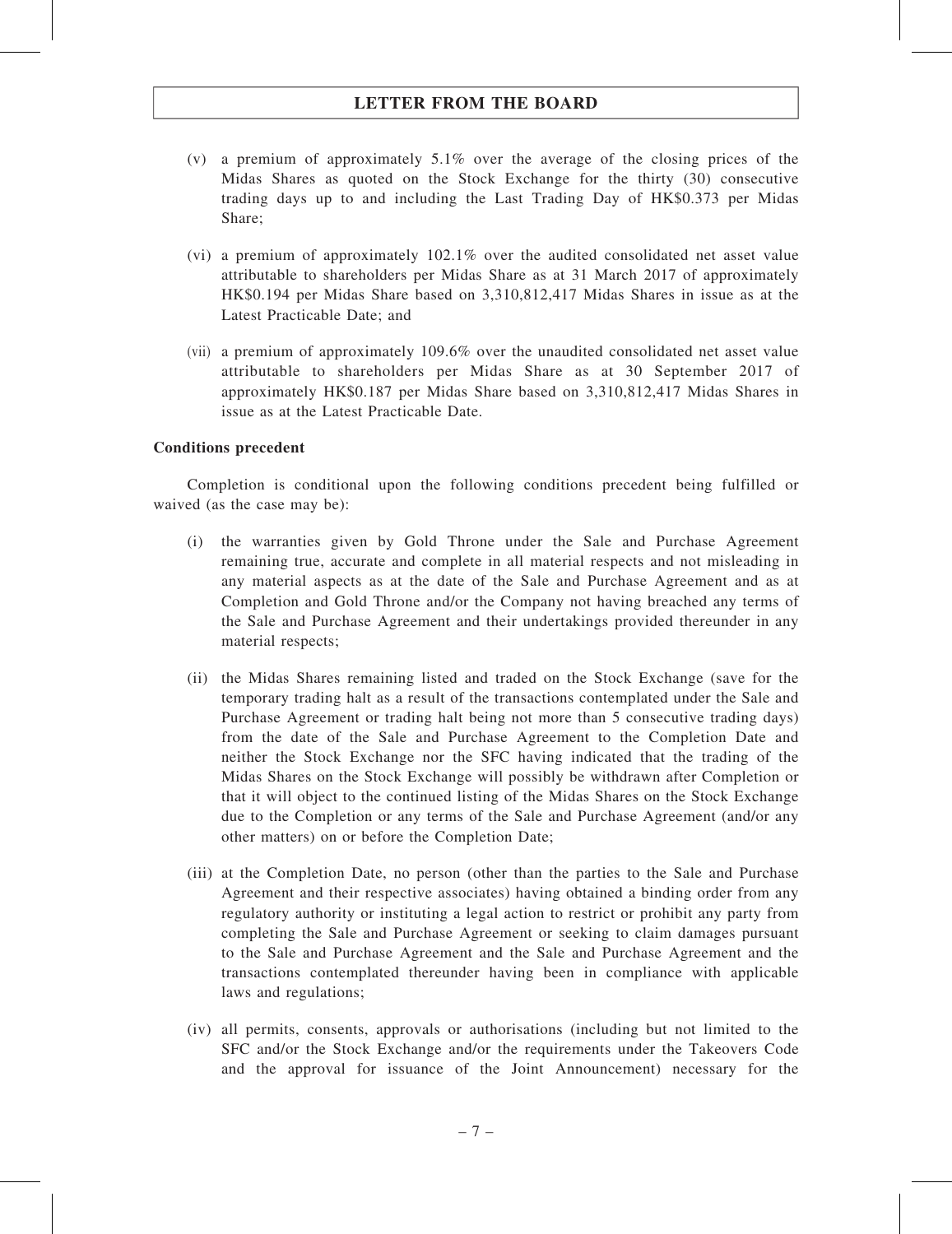- (v) a premium of approximately 5.1% over the average of the closing prices of the Midas Shares as quoted on the Stock Exchange for the thirty (30) consecutive trading days up to and including the Last Trading Day of HK\$0.373 per Midas Share;
- (vi) a premium of approximately 102.1% over the audited consolidated net asset value attributable to shareholders per Midas Share as at 31 March 2017 of approximately HK\$0.194 per Midas Share based on 3,310,812,417 Midas Shares in issue as at the Latest Practicable Date; and
- (vii) a premium of approximately 109.6% over the unaudited consolidated net asset value attributable to shareholders per Midas Share as at 30 September 2017 of approximately HK\$0.187 per Midas Share based on 3,310,812,417 Midas Shares in issue as at the Latest Practicable Date.

#### Conditions precedent

Completion is conditional upon the following conditions precedent being fulfilled or waived (as the case may be):

- (i) the warranties given by Gold Throne under the Sale and Purchase Agreement remaining true, accurate and complete in all material respects and not misleading in any material aspects as at the date of the Sale and Purchase Agreement and as at Completion and Gold Throne and/or the Company not having breached any terms of the Sale and Purchase Agreement and their undertakings provided thereunder in any material respects;
- (ii) the Midas Shares remaining listed and traded on the Stock Exchange (save for the temporary trading halt as a result of the transactions contemplated under the Sale and Purchase Agreement or trading halt being not more than 5 consecutive trading days) from the date of the Sale and Purchase Agreement to the Completion Date and neither the Stock Exchange nor the SFC having indicated that the trading of the Midas Shares on the Stock Exchange will possibly be withdrawn after Completion or that it will object to the continued listing of the Midas Shares on the Stock Exchange due to the Completion or any terms of the Sale and Purchase Agreement (and/or any other matters) on or before the Completion Date;
- (iii) at the Completion Date, no person (other than the parties to the Sale and Purchase Agreement and their respective associates) having obtained a binding order from any regulatory authority or instituting a legal action to restrict or prohibit any party from completing the Sale and Purchase Agreement or seeking to claim damages pursuant to the Sale and Purchase Agreement and the Sale and Purchase Agreement and the transactions contemplated thereunder having been in compliance with applicable laws and regulations;
- (iv) all permits, consents, approvals or authorisations (including but not limited to the SFC and/or the Stock Exchange and/or the requirements under the Takeovers Code and the approval for issuance of the Joint Announcement) necessary for the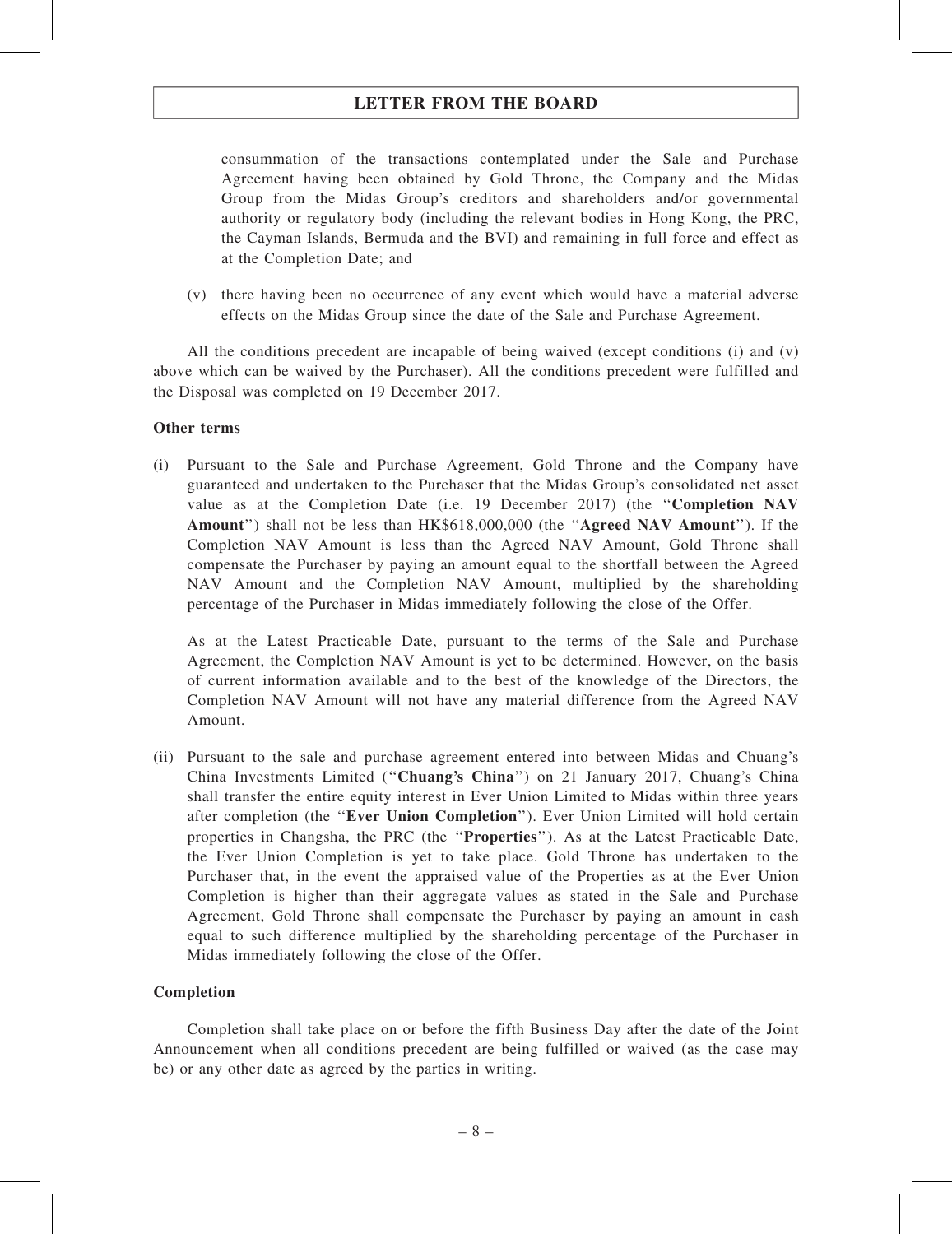consummation of the transactions contemplated under the Sale and Purchase Agreement having been obtained by Gold Throne, the Company and the Midas Group from the Midas Group's creditors and shareholders and/or governmental authority or regulatory body (including the relevant bodies in Hong Kong, the PRC, the Cayman Islands, Bermuda and the BVI) and remaining in full force and effect as at the Completion Date; and

(v) there having been no occurrence of any event which would have a material adverse effects on the Midas Group since the date of the Sale and Purchase Agreement.

All the conditions precedent are incapable of being waived (except conditions (i) and (v) above which can be waived by the Purchaser). All the conditions precedent were fulfilled and the Disposal was completed on 19 December 2017.

#### Other terms

(i) Pursuant to the Sale and Purchase Agreement, Gold Throne and the Company have guaranteed and undertaken to the Purchaser that the Midas Group's consolidated net asset value as at the Completion Date (i.e. 19 December 2017) (the "Completion NAV Amount'') shall not be less than HK\$618,000,000 (the ''Agreed NAV Amount''). If the Completion NAV Amount is less than the Agreed NAV Amount, Gold Throne shall compensate the Purchaser by paying an amount equal to the shortfall between the Agreed NAV Amount and the Completion NAV Amount, multiplied by the shareholding percentage of the Purchaser in Midas immediately following the close of the Offer.

As at the Latest Practicable Date, pursuant to the terms of the Sale and Purchase Agreement, the Completion NAV Amount is yet to be determined. However, on the basis of current information available and to the best of the knowledge of the Directors, the Completion NAV Amount will not have any material difference from the Agreed NAV Amount.

(ii) Pursuant to the sale and purchase agreement entered into between Midas and Chuang's China Investments Limited (''Chuang's China'') on 21 January 2017, Chuang's China shall transfer the entire equity interest in Ever Union Limited to Midas within three years after completion (the ''Ever Union Completion''). Ever Union Limited will hold certain properties in Changsha, the PRC (the ''Properties''). As at the Latest Practicable Date, the Ever Union Completion is yet to take place. Gold Throne has undertaken to the Purchaser that, in the event the appraised value of the Properties as at the Ever Union Completion is higher than their aggregate values as stated in the Sale and Purchase Agreement, Gold Throne shall compensate the Purchaser by paying an amount in cash equal to such difference multiplied by the shareholding percentage of the Purchaser in Midas immediately following the close of the Offer.

#### Completion

Completion shall take place on or before the fifth Business Day after the date of the Joint Announcement when all conditions precedent are being fulfilled or waived (as the case may be) or any other date as agreed by the parties in writing.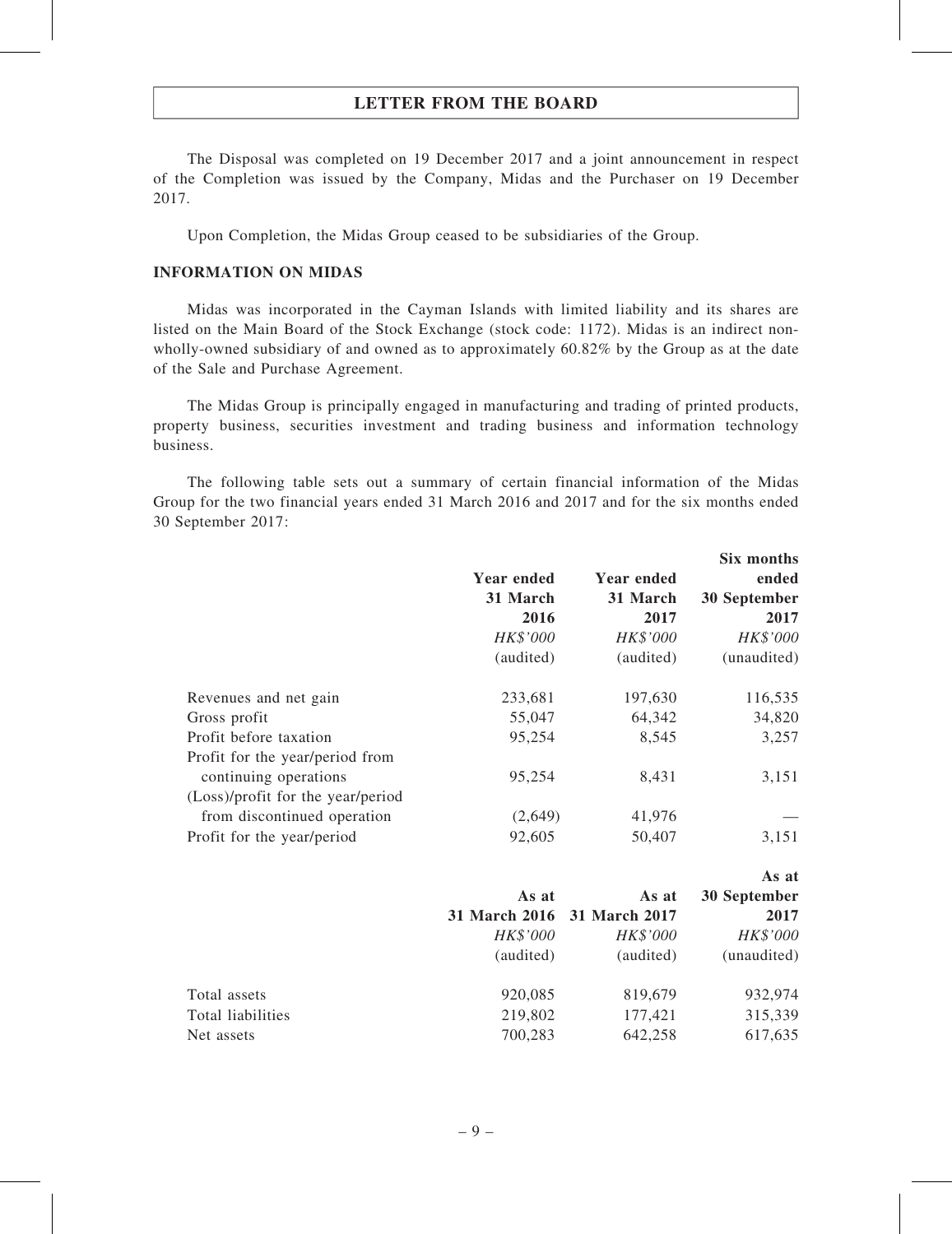The Disposal was completed on 19 December 2017 and a joint announcement in respect of the Completion was issued by the Company, Midas and the Purchaser on 19 December 2017.

Upon Completion, the Midas Group ceased to be subsidiaries of the Group.

#### INFORMATION ON MIDAS

Midas was incorporated in the Cayman Islands with limited liability and its shares are listed on the Main Board of the Stock Exchange (stock code: 1172). Midas is an indirect nonwholly-owned subsidiary of and owned as to approximately 60.82% by the Group as at the date of the Sale and Purchase Agreement.

The Midas Group is principally engaged in manufacturing and trading of printed products, property business, securities investment and trading business and information technology business.

The following table sets out a summary of certain financial information of the Midas Group for the two financial years ended 31 March 2016 and 2017 and for the six months ended 30 September 2017:

|                                   |               |                   | Six months          |
|-----------------------------------|---------------|-------------------|---------------------|
|                                   | Year ended    | <b>Year ended</b> | ended               |
|                                   | 31 March      | 31 March          | <b>30 September</b> |
|                                   | 2016          | 2017              | 2017                |
|                                   | HK\$'000      | HK\$'000          | HK\$'000            |
|                                   | (audited)     | (audited)         | (unaudited)         |
| Revenues and net gain             | 233,681       | 197,630           | 116,535             |
| Gross profit                      | 55,047        | 64,342            | 34,820              |
| Profit before taxation            | 95,254        | 8,545             | 3,257               |
| Profit for the year/period from   |               |                   |                     |
| continuing operations             | 95,254        | 8,431             | 3,151               |
| (Loss)/profit for the year/period |               |                   |                     |
| from discontinued operation       | (2,649)       | 41,976            |                     |
| Profit for the year/period        | 92,605        | 50,407            | 3,151               |
|                                   |               |                   | As at               |
|                                   | As at         | As at             | <b>30 September</b> |
|                                   | 31 March 2016 | 31 March 2017     | 2017                |
|                                   | HK\$'000      | HK\$'000          | HK\$'000            |

| Total assets      | 920,085 | 819.679 | 932.974 |
|-------------------|---------|---------|---------|
| Total liabilities | 219.802 | 177.421 | 315.339 |
| Net assets        | 700,283 | 642.258 | 617,635 |

(audited) (audited) (unaudited)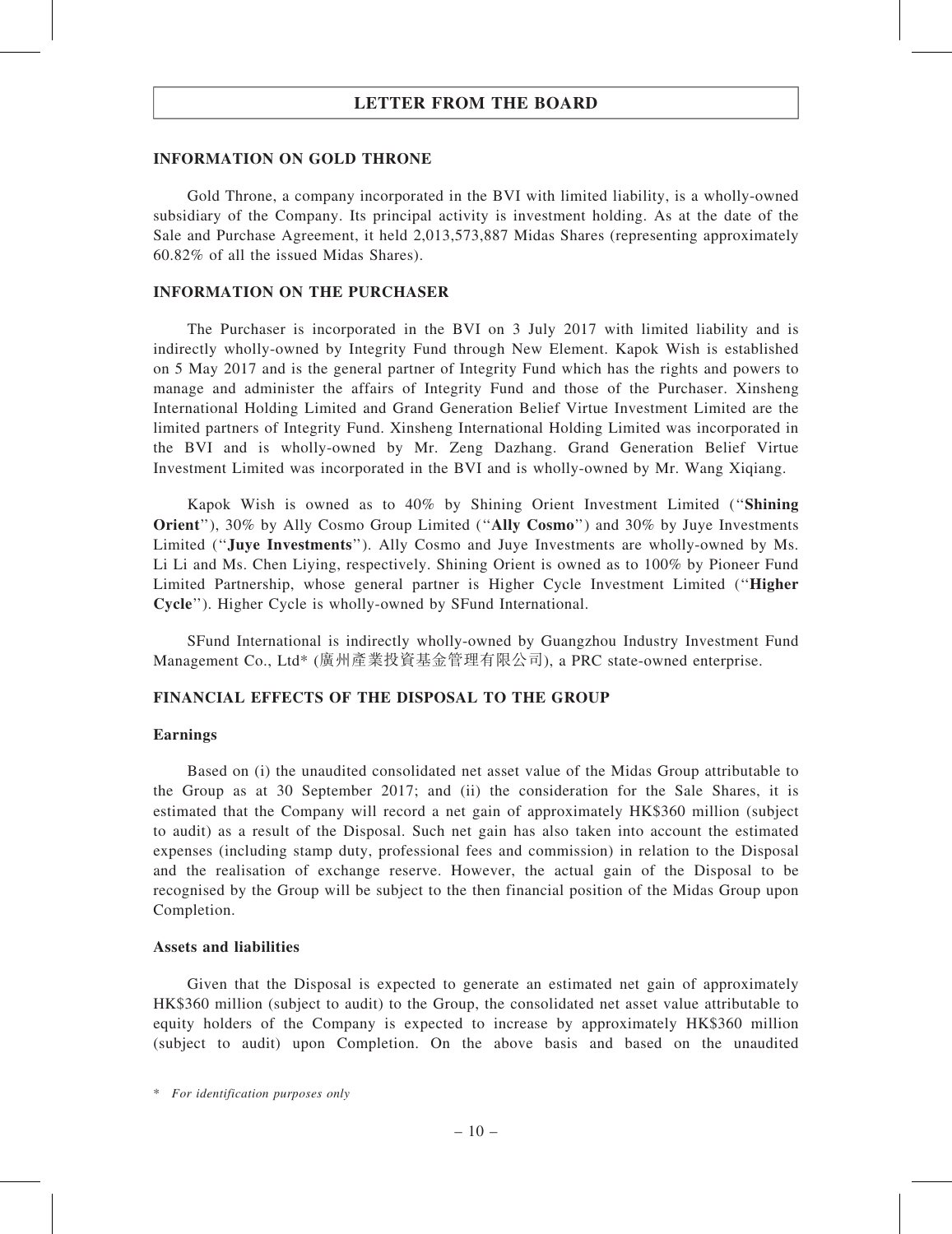#### INFORMATION ON GOLD THRONE

Gold Throne, a company incorporated in the BVI with limited liability, is a wholly-owned subsidiary of the Company. Its principal activity is investment holding. As at the date of the Sale and Purchase Agreement, it held 2,013,573,887 Midas Shares (representing approximately 60.82% of all the issued Midas Shares).

#### INFORMATION ON THE PURCHASER

The Purchaser is incorporated in the BVI on 3 July 2017 with limited liability and is indirectly wholly-owned by Integrity Fund through New Element. Kapok Wish is established on 5 May 2017 and is the general partner of Integrity Fund which has the rights and powers to manage and administer the affairs of Integrity Fund and those of the Purchaser. Xinsheng International Holding Limited and Grand Generation Belief Virtue Investment Limited are the limited partners of Integrity Fund. Xinsheng International Holding Limited was incorporated in the BVI and is wholly-owned by Mr. Zeng Dazhang. Grand Generation Belief Virtue Investment Limited was incorporated in the BVI and is wholly-owned by Mr. Wang Xiqiang.

Kapok Wish is owned as to 40% by Shining Orient Investment Limited (''Shining Orient"), 30% by Ally Cosmo Group Limited ("Ally Cosmo") and 30% by Juye Investments Limited ("Juye Investments"). Ally Cosmo and Juye Investments are wholly-owned by Ms. Li Li and Ms. Chen Liying, respectively. Shining Orient is owned as to 100% by Pioneer Fund Limited Partnership, whose general partner is Higher Cycle Investment Limited (''Higher Cycle''). Higher Cycle is wholly-owned by SFund International.

SFund International is indirectly wholly-owned by Guangzhou Industry Investment Fund Management Co., Ltd\* (廣州產業投資基金管理有限公司), a PRC state-owned enterprise.

#### FINANCIAL EFFECTS OF THE DISPOSAL TO THE GROUP

#### Earnings

Based on (i) the unaudited consolidated net asset value of the Midas Group attributable to the Group as at 30 September 2017; and (ii) the consideration for the Sale Shares, it is estimated that the Company will record a net gain of approximately HK\$360 million (subject to audit) as a result of the Disposal. Such net gain has also taken into account the estimated expenses (including stamp duty, professional fees and commission) in relation to the Disposal and the realisation of exchange reserve. However, the actual gain of the Disposal to be recognised by the Group will be subject to the then financial position of the Midas Group upon Completion.

#### Assets and liabilities

Given that the Disposal is expected to generate an estimated net gain of approximately HK\$360 million (subject to audit) to the Group, the consolidated net asset value attributable to equity holders of the Company is expected to increase by approximately HK\$360 million (subject to audit) upon Completion. On the above basis and based on the unaudited

<sup>\*</sup> For identification purposes only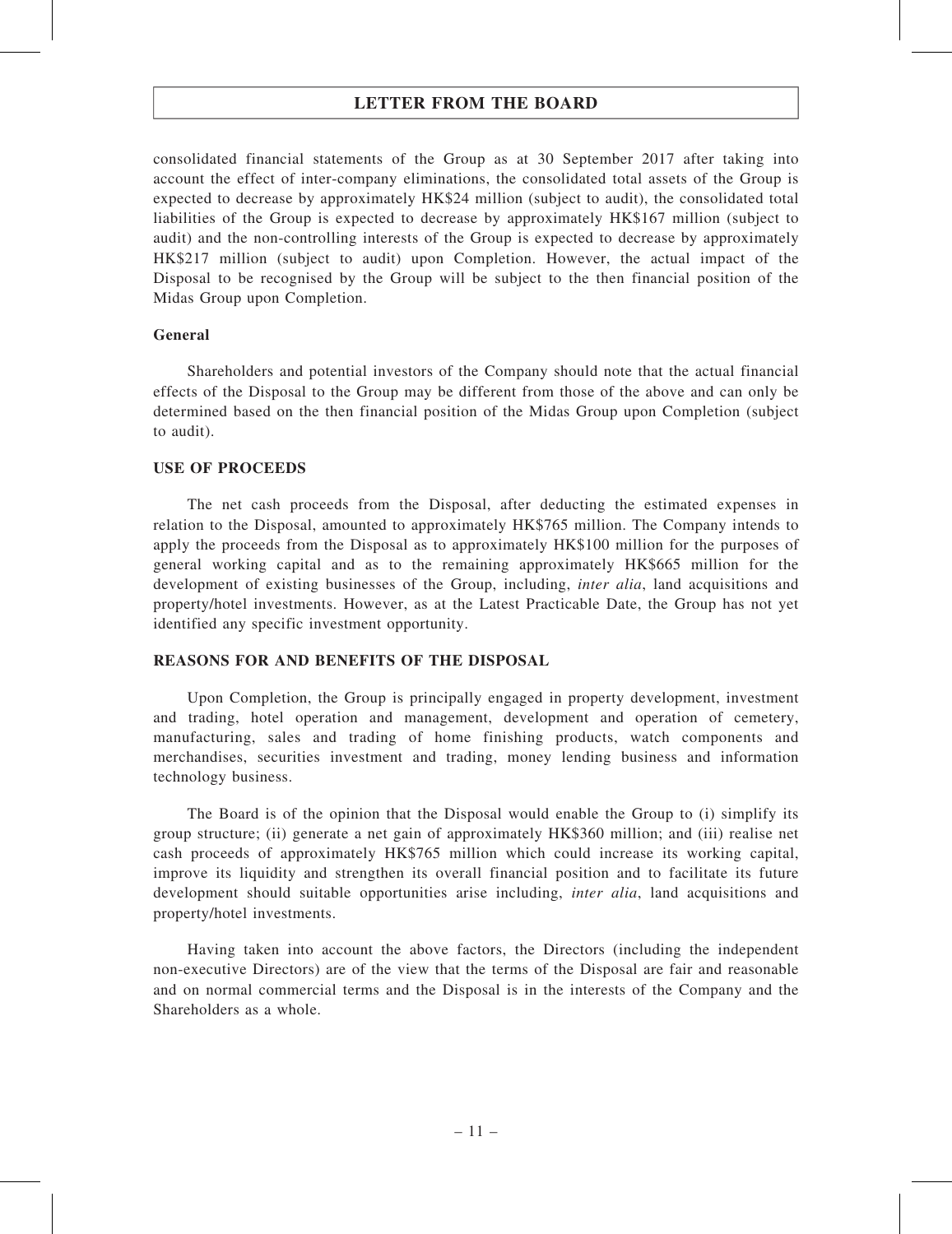consolidated financial statements of the Group as at 30 September 2017 after taking into account the effect of inter-company eliminations, the consolidated total assets of the Group is expected to decrease by approximately HK\$24 million (subject to audit), the consolidated total liabilities of the Group is expected to decrease by approximately HK\$167 million (subject to audit) and the non-controlling interests of the Group is expected to decrease by approximately HK\$217 million (subject to audit) upon Completion. However, the actual impact of the Disposal to be recognised by the Group will be subject to the then financial position of the Midas Group upon Completion.

#### General

Shareholders and potential investors of the Company should note that the actual financial effects of the Disposal to the Group may be different from those of the above and can only be determined based on the then financial position of the Midas Group upon Completion (subject to audit).

#### USE OF PROCEEDS

The net cash proceeds from the Disposal, after deducting the estimated expenses in relation to the Disposal, amounted to approximately HK\$765 million. The Company intends to apply the proceeds from the Disposal as to approximately HK\$100 million for the purposes of general working capital and as to the remaining approximately HK\$665 million for the development of existing businesses of the Group, including, *inter alia*, land acquisitions and property/hotel investments. However, as at the Latest Practicable Date, the Group has not yet identified any specific investment opportunity.

#### REASONS FOR AND BENEFITS OF THE DISPOSAL

Upon Completion, the Group is principally engaged in property development, investment and trading, hotel operation and management, development and operation of cemetery, manufacturing, sales and trading of home finishing products, watch components and merchandises, securities investment and trading, money lending business and information technology business.

The Board is of the opinion that the Disposal would enable the Group to (i) simplify its group structure; (ii) generate a net gain of approximately HK\$360 million; and (iii) realise net cash proceeds of approximately HK\$765 million which could increase its working capital, improve its liquidity and strengthen its overall financial position and to facilitate its future development should suitable opportunities arise including, *inter alia*, land acquisitions and property/hotel investments.

Having taken into account the above factors, the Directors (including the independent non-executive Directors) are of the view that the terms of the Disposal are fair and reasonable and on normal commercial terms and the Disposal is in the interests of the Company and the Shareholders as a whole.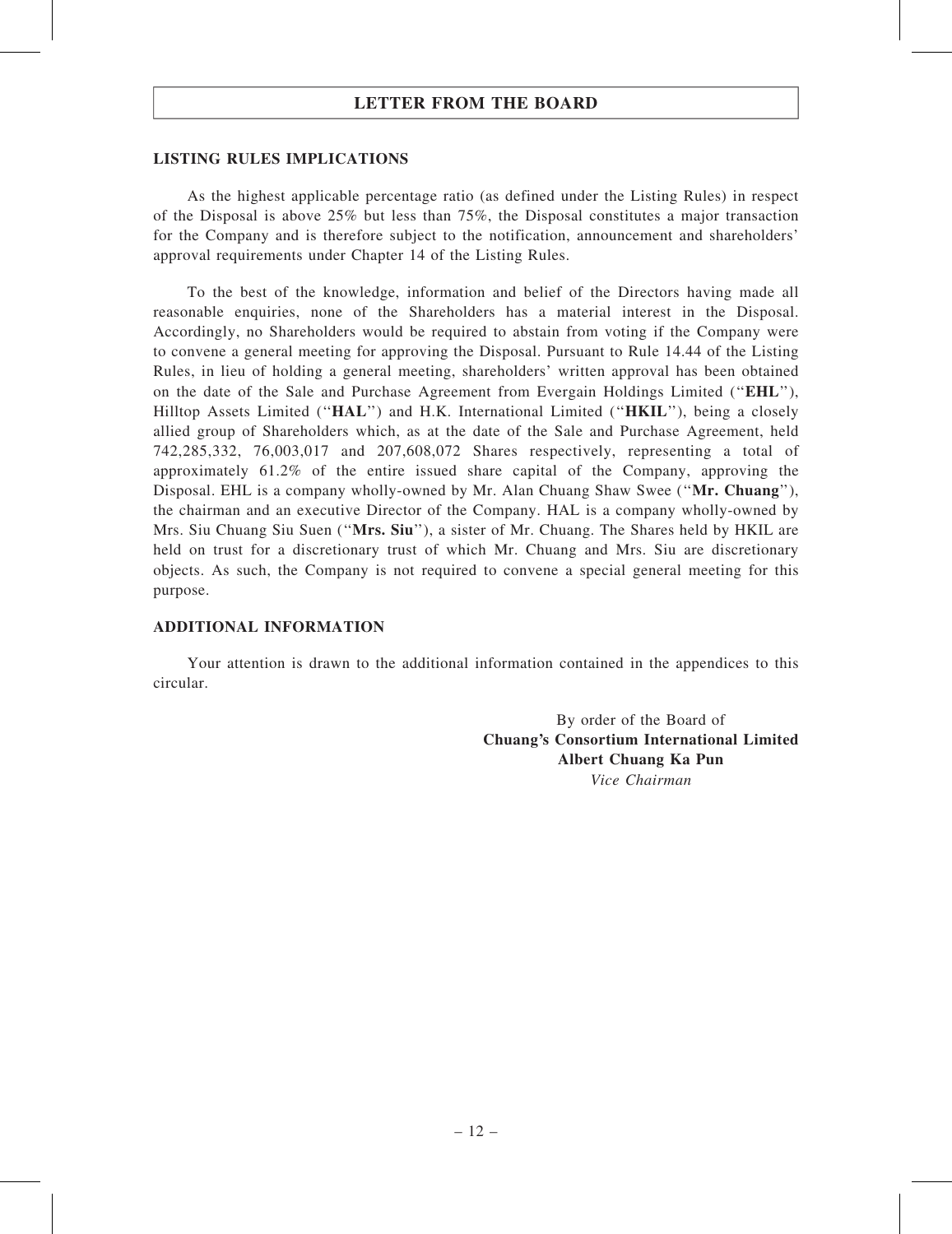#### LISTING RULES IMPLICATIONS

As the highest applicable percentage ratio (as defined under the Listing Rules) in respect of the Disposal is above 25% but less than 75%, the Disposal constitutes a major transaction for the Company and is therefore subject to the notification, announcement and shareholders' approval requirements under Chapter 14 of the Listing Rules.

To the best of the knowledge, information and belief of the Directors having made all reasonable enquiries, none of the Shareholders has a material interest in the Disposal. Accordingly, no Shareholders would be required to abstain from voting if the Company were to convene a general meeting for approving the Disposal. Pursuant to Rule 14.44 of the Listing Rules, in lieu of holding a general meeting, shareholders' written approval has been obtained on the date of the Sale and Purchase Agreement from Evergain Holdings Limited (''EHL''), Hilltop Assets Limited ("HAL") and H.K. International Limited ("HKIL"), being a closely allied group of Shareholders which, as at the date of the Sale and Purchase Agreement, held 742,285,332, 76,003,017 and 207,608,072 Shares respectively, representing a total of approximately 61.2% of the entire issued share capital of the Company, approving the Disposal. EHL is a company wholly-owned by Mr. Alan Chuang Shaw Swee ("Mr. Chuang"), the chairman and an executive Director of the Company. HAL is a company wholly-owned by Mrs. Siu Chuang Siu Suen (''Mrs. Siu''), a sister of Mr. Chuang. The Shares held by HKIL are held on trust for a discretionary trust of which Mr. Chuang and Mrs. Siu are discretionary objects. As such, the Company is not required to convene a special general meeting for this purpose.

#### ADDITIONAL INFORMATION

Your attention is drawn to the additional information contained in the appendices to this circular.

> By order of the Board of Chuang's Consortium International Limited Albert Chuang Ka Pun Vice Chairman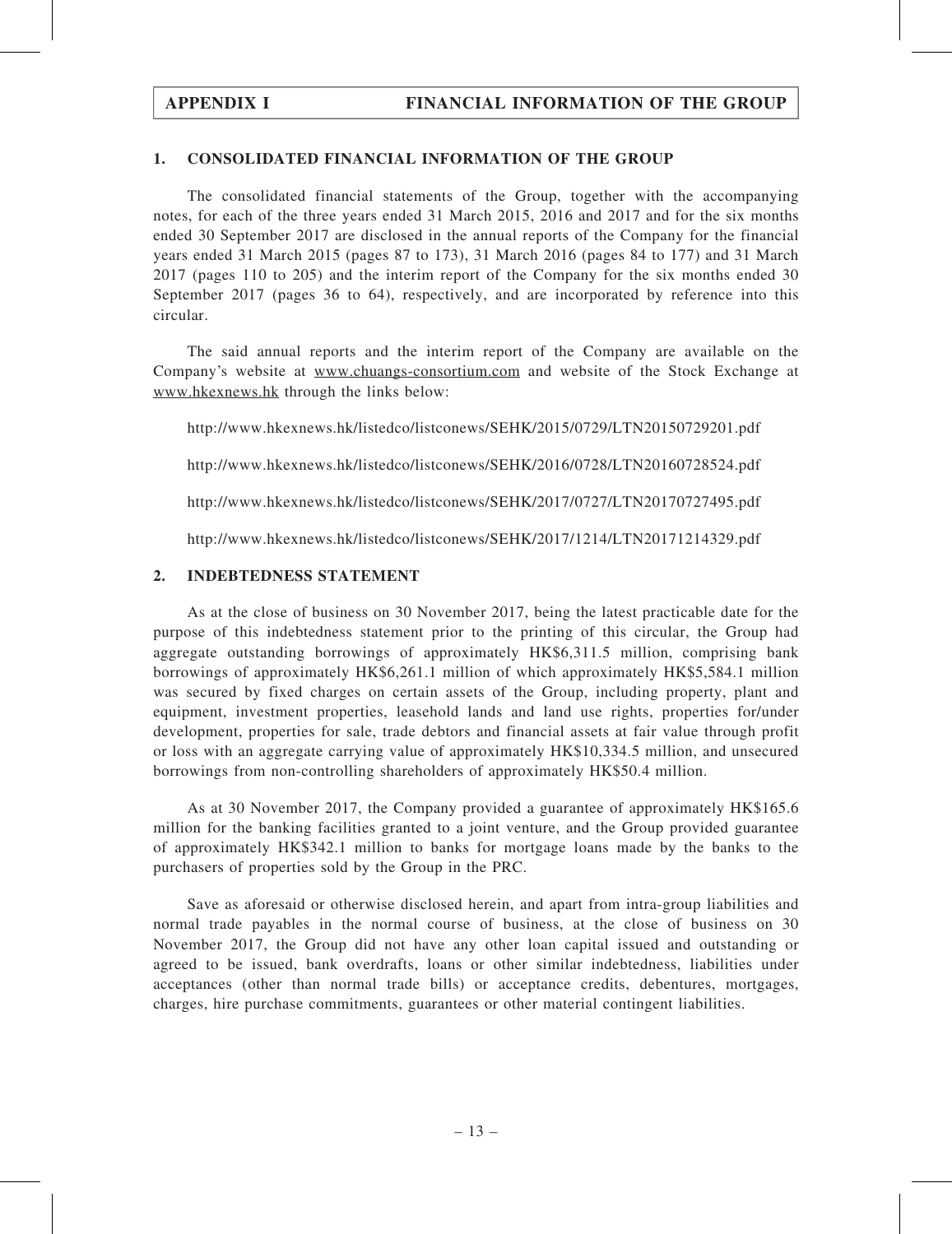### 1. CONSOLIDATED FINANCIAL INFORMATION OF THE GROUP

The consolidated financial statements of the Group, together with the accompanying notes, for each of the three years ended 31 March 2015, 2016 and 2017 and for the six months ended 30 September 2017 are disclosed in the annual reports of the Company for the financial years ended 31 March 2015 (pages 87 to 173), 31 March 2016 (pages 84 to 177) and 31 March 2017 (pages 110 to 205) and the interim report of the Company for the six months ended 30 September 2017 (pages 36 to 64), respectively, and are incorporated by reference into this circular.

The said annual reports and the interim report of the Company are available on the Company's website at www.chuangs-consortium.com and website of the Stock Exchange at www.hkexnews.hk through the links below:

http://www.hkexnews.hk/listedco/listconews/SEHK/2015/0729/LTN20150729201.pdf

http://www.hkexnews.hk/listedco/listconews/SEHK/2016/0728/LTN20160728524.pdf

http://www.hkexnews.hk/listedco/listconews/SEHK/2017/0727/LTN20170727495.pdf

http://www.hkexnews.hk/listedco/listconews/SEHK/2017/1214/LTN20171214329.pdf

# 2. INDEBTEDNESS STATEMENT

As at the close of business on 30 November 2017, being the latest practicable date for the purpose of this indebtedness statement prior to the printing of this circular, the Group had aggregate outstanding borrowings of approximately HK\$6,311.5 million, comprising bank borrowings of approximately HK\$6,261.1 million of which approximately HK\$5,584.1 million was secured by fixed charges on certain assets of the Group, including property, plant and equipment, investment properties, leasehold lands and land use rights, properties for/under development, properties for sale, trade debtors and financial assets at fair value through profit or loss with an aggregate carrying value of approximately HK\$10,334.5 million, and unsecured borrowings from non-controlling shareholders of approximately HK\$50.4 million.

As at 30 November 2017, the Company provided a guarantee of approximately HK\$165.6 million for the banking facilities granted to a joint venture, and the Group provided guarantee of approximately HK\$342.1 million to banks for mortgage loans made by the banks to the purchasers of properties sold by the Group in the PRC.

Save as aforesaid or otherwise disclosed herein, and apart from intra-group liabilities and normal trade payables in the normal course of business, at the close of business on 30 November 2017, the Group did not have any other loan capital issued and outstanding or agreed to be issued, bank overdrafts, loans or other similar indebtedness, liabilities under acceptances (other than normal trade bills) or acceptance credits, debentures, mortgages, charges, hire purchase commitments, guarantees or other material contingent liabilities.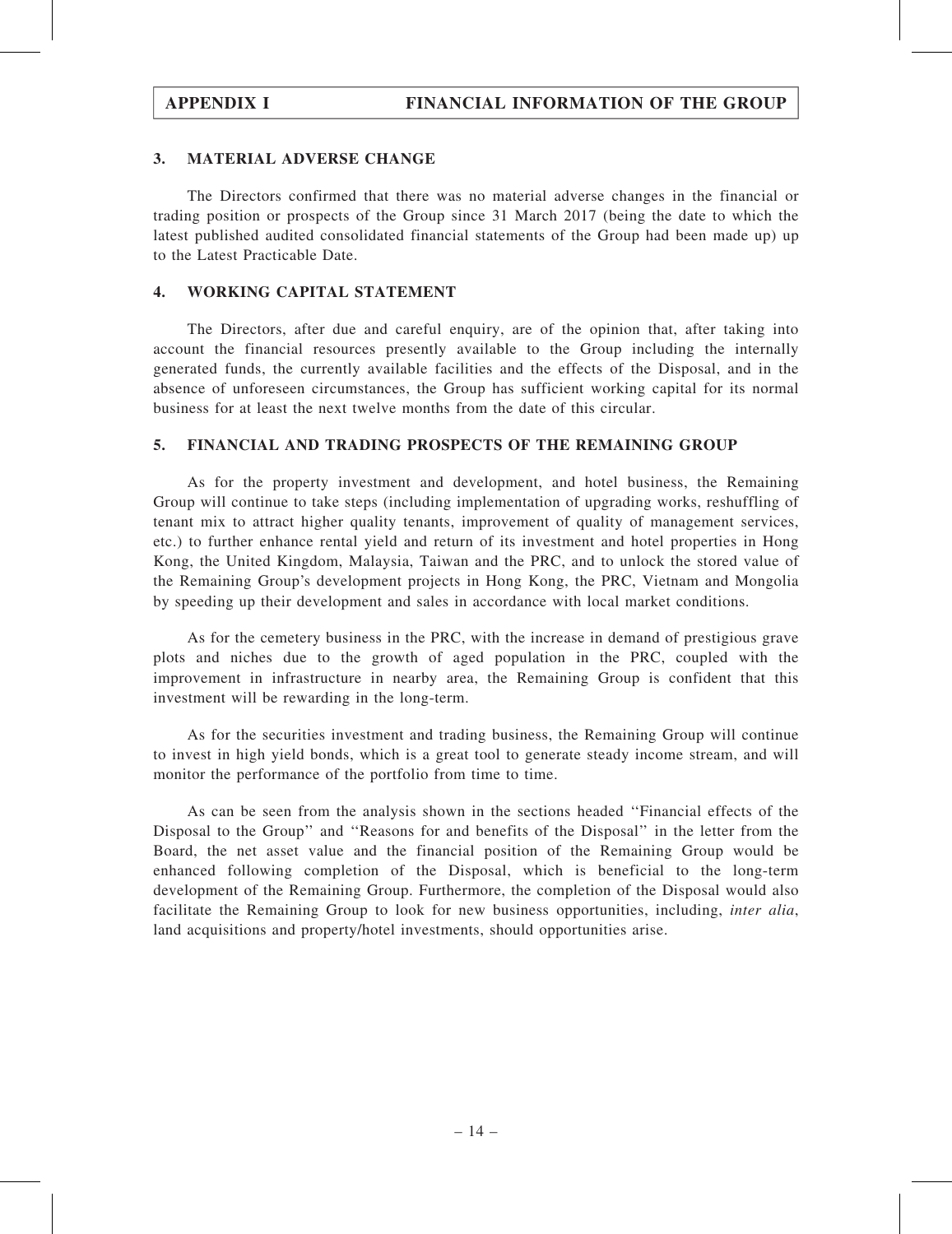#### 3. MATERIAL ADVERSE CHANGE

The Directors confirmed that there was no material adverse changes in the financial or trading position or prospects of the Group since 31 March 2017 (being the date to which the latest published audited consolidated financial statements of the Group had been made up) up to the Latest Practicable Date.

### 4. WORKING CAPITAL STATEMENT

The Directors, after due and careful enquiry, are of the opinion that, after taking into account the financial resources presently available to the Group including the internally generated funds, the currently available facilities and the effects of the Disposal, and in the absence of unforeseen circumstances, the Group has sufficient working capital for its normal business for at least the next twelve months from the date of this circular.

### 5. FINANCIAL AND TRADING PROSPECTS OF THE REMAINING GROUP

As for the property investment and development, and hotel business, the Remaining Group will continue to take steps (including implementation of upgrading works, reshuffling of tenant mix to attract higher quality tenants, improvement of quality of management services, etc.) to further enhance rental yield and return of its investment and hotel properties in Hong Kong, the United Kingdom, Malaysia, Taiwan and the PRC, and to unlock the stored value of the Remaining Group's development projects in Hong Kong, the PRC, Vietnam and Mongolia by speeding up their development and sales in accordance with local market conditions.

As for the cemetery business in the PRC, with the increase in demand of prestigious grave plots and niches due to the growth of aged population in the PRC, coupled with the improvement in infrastructure in nearby area, the Remaining Group is confident that this investment will be rewarding in the long-term.

As for the securities investment and trading business, the Remaining Group will continue to invest in high yield bonds, which is a great tool to generate steady income stream, and will monitor the performance of the portfolio from time to time.

As can be seen from the analysis shown in the sections headed ''Financial effects of the Disposal to the Group'' and ''Reasons for and benefits of the Disposal'' in the letter from the Board, the net asset value and the financial position of the Remaining Group would be enhanced following completion of the Disposal, which is beneficial to the long-term development of the Remaining Group. Furthermore, the completion of the Disposal would also facilitate the Remaining Group to look for new business opportunities, including, inter alia, land acquisitions and property/hotel investments, should opportunities arise.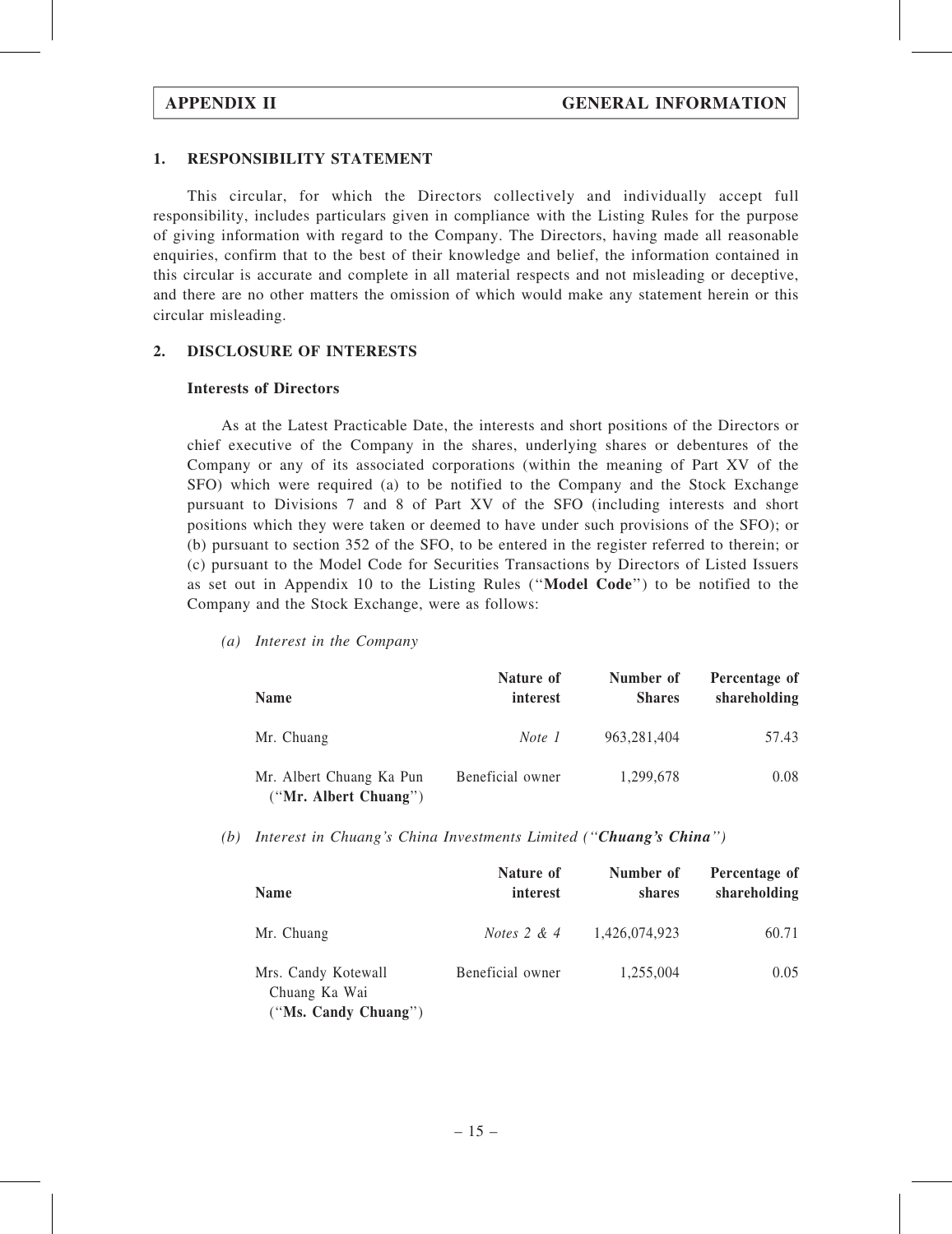#### 1. RESPONSIBILITY STATEMENT

This circular, for which the Directors collectively and individually accept full responsibility, includes particulars given in compliance with the Listing Rules for the purpose of giving information with regard to the Company. The Directors, having made all reasonable enquiries, confirm that to the best of their knowledge and belief, the information contained in this circular is accurate and complete in all material respects and not misleading or deceptive, and there are no other matters the omission of which would make any statement herein or this circular misleading.

#### 2. DISCLOSURE OF INTERESTS

#### Interests of Directors

As at the Latest Practicable Date, the interests and short positions of the Directors or chief executive of the Company in the shares, underlying shares or debentures of the Company or any of its associated corporations (within the meaning of Part XV of the SFO) which were required (a) to be notified to the Company and the Stock Exchange pursuant to Divisions 7 and 8 of Part XV of the SFO (including interests and short positions which they were taken or deemed to have under such provisions of the SFO); or (b) pursuant to section 352 of the SFO, to be entered in the register referred to therein; or (c) pursuant to the Model Code for Securities Transactions by Directors of Listed Issuers as set out in Appendix 10 to the Listing Rules (''Model Code'') to be notified to the Company and the Stock Exchange, were as follows:

(a) Interest in the Company

| <b>Name</b>                                       | Nature of<br>interest | Number of<br><b>Shares</b> | Percentage of<br>shareholding |
|---------------------------------------------------|-----------------------|----------------------------|-------------------------------|
| Mr. Chuang                                        | Note 1                | 963, 281, 404              | 57.43                         |
| Mr. Albert Chuang Ka Pun<br>("Mr. Albert Chuang") | Beneficial owner      | 1.299.678                  | 0.08                          |

(b) Interest in Chuang's China Investments Limited (''Chuang's China'')

| <b>Name</b>                                                  | Nature of<br>interest | Number of<br>shares | Percentage of<br>shareholding |
|--------------------------------------------------------------|-----------------------|---------------------|-------------------------------|
| Mr. Chuang                                                   | <i>Notes</i> $2 & 4$  | 1,426,074,923       | 60.71                         |
| Mrs. Candy Kotewall<br>Chuang Ka Wai<br>("Ms. Candy Chuang") | Beneficial owner      | 1,255,004           | 0.05                          |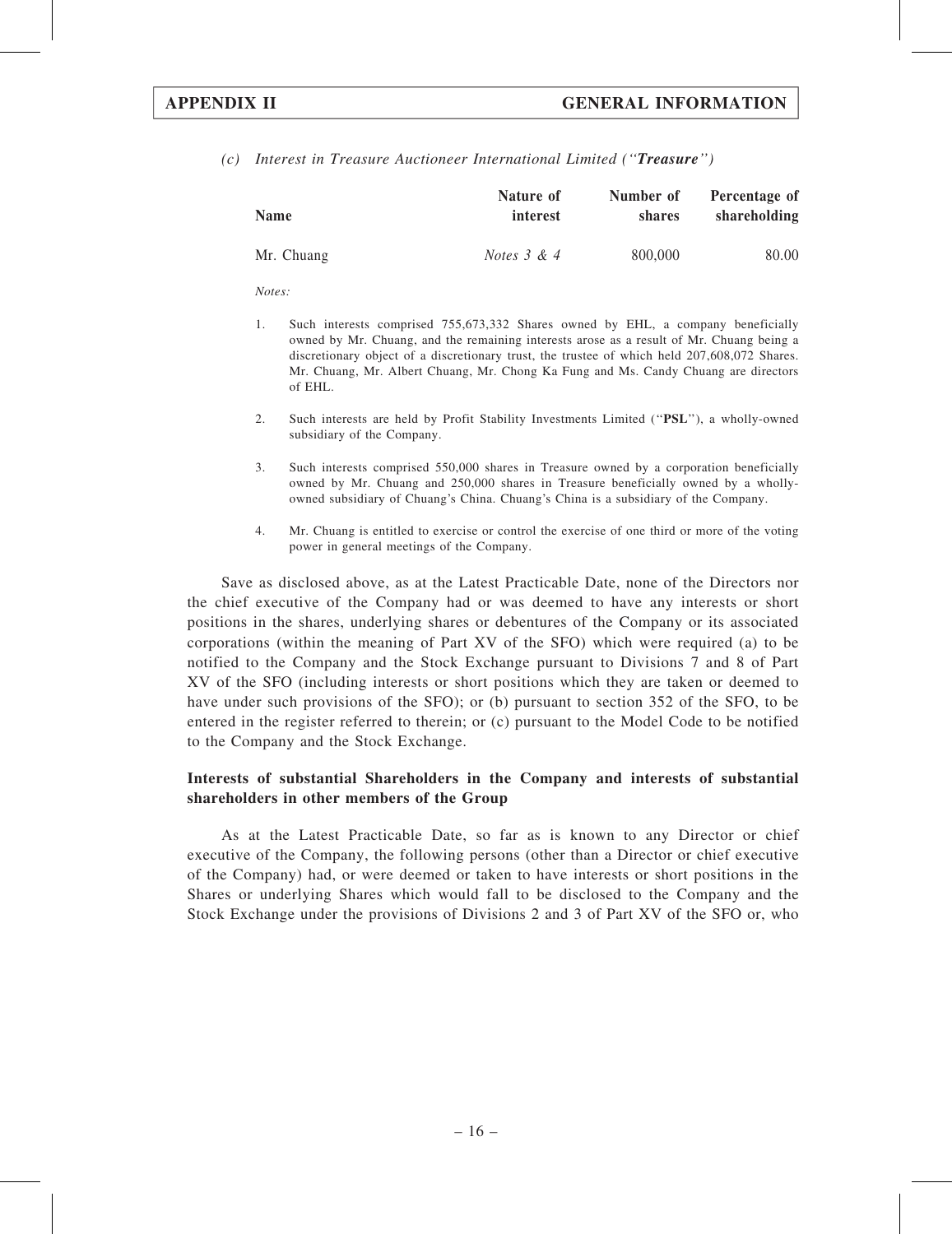(c) Interest in Treasure Auctioneer International Limited (''Treasure'')

| <b>Name</b> | Nature of     | Number of     | Percentage of |
|-------------|---------------|---------------|---------------|
|             | interest      | <b>shares</b> | shareholding  |
| Mr. Chuang  | Notes $3 & 4$ | 800,000       | 80.00         |

 $Note:$ 

- 1. Such interests comprised 755,673,332 Shares owned by EHL, a company beneficially owned by Mr. Chuang, and the remaining interests arose as a result of Mr. Chuang being a discretionary object of a discretionary trust, the trustee of which held 207,608,072 Shares. Mr. Chuang, Mr. Albert Chuang, Mr. Chong Ka Fung and Ms. Candy Chuang are directors of EHL.
- 2. Such interests are held by Profit Stability Investments Limited (''PSL''), a wholly-owned subsidiary of the Company.
- 3. Such interests comprised 550,000 shares in Treasure owned by a corporation beneficially owned by Mr. Chuang and 250,000 shares in Treasure beneficially owned by a whollyowned subsidiary of Chuang's China. Chuang's China is a subsidiary of the Company.
- 4. Mr. Chuang is entitled to exercise or control the exercise of one third or more of the voting power in general meetings of the Company.

Save as disclosed above, as at the Latest Practicable Date, none of the Directors nor the chief executive of the Company had or was deemed to have any interests or short positions in the shares, underlying shares or debentures of the Company or its associated corporations (within the meaning of Part XV of the SFO) which were required (a) to be notified to the Company and the Stock Exchange pursuant to Divisions 7 and 8 of Part XV of the SFO (including interests or short positions which they are taken or deemed to have under such provisions of the SFO); or (b) pursuant to section 352 of the SFO, to be entered in the register referred to therein; or (c) pursuant to the Model Code to be notified to the Company and the Stock Exchange.

#### Interests of substantial Shareholders in the Company and interests of substantial shareholders in other members of the Group

As at the Latest Practicable Date, so far as is known to any Director or chief executive of the Company, the following persons (other than a Director or chief executive of the Company) had, or were deemed or taken to have interests or short positions in the Shares or underlying Shares which would fall to be disclosed to the Company and the Stock Exchange under the provisions of Divisions 2 and 3 of Part XV of the SFO or, who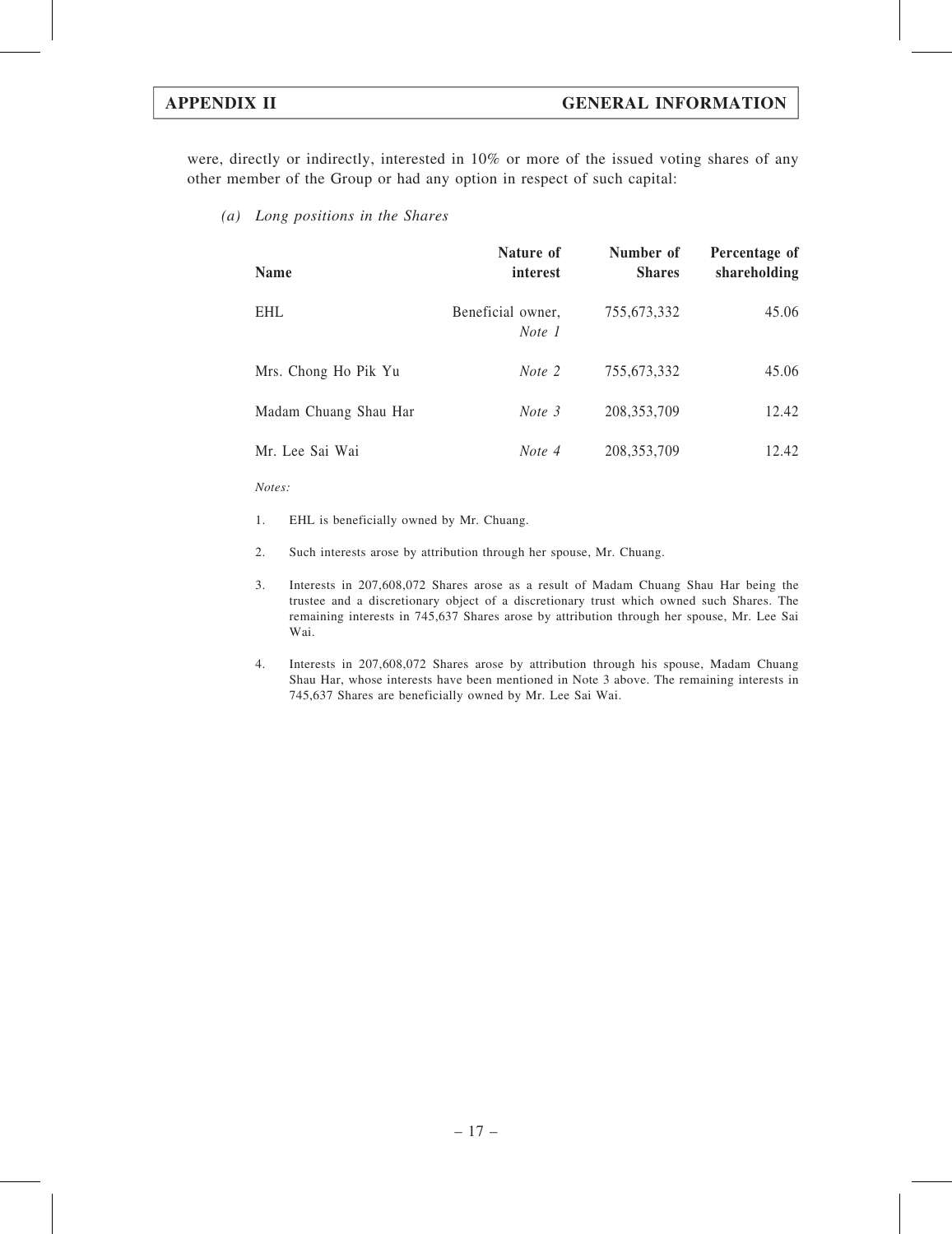were, directly or indirectly, interested in 10% or more of the issued voting shares of any other member of the Group or had any option in respect of such capital:

(a) Long positions in the Shares

| <b>Name</b>           | Nature of<br>interest       | Number of<br><b>Shares</b> | Percentage of<br>shareholding |
|-----------------------|-----------------------------|----------------------------|-------------------------------|
| <b>EHL</b>            | Beneficial owner,<br>Note 1 | 755,673,332                | 45.06                         |
| Mrs. Chong Ho Pik Yu  | Note 2                      | 755,673,332                | 45.06                         |
| Madam Chuang Shau Har | Note 3                      | 208, 353, 709              | 12.42                         |
| Mr. Lee Sai Wai       | Note 4                      | 208, 353, 709              | 12.42                         |

Notes:

- 1. EHL is beneficially owned by Mr. Chuang.
- 2. Such interests arose by attribution through her spouse, Mr. Chuang.
- 3. Interests in 207,608,072 Shares arose as a result of Madam Chuang Shau Har being the trustee and a discretionary object of a discretionary trust which owned such Shares. The remaining interests in 745,637 Shares arose by attribution through her spouse, Mr. Lee Sai Wai.
- 4. Interests in 207,608,072 Shares arose by attribution through his spouse, Madam Chuang Shau Har, whose interests have been mentioned in Note 3 above. The remaining interests in 745,637 Shares are beneficially owned by Mr. Lee Sai Wai.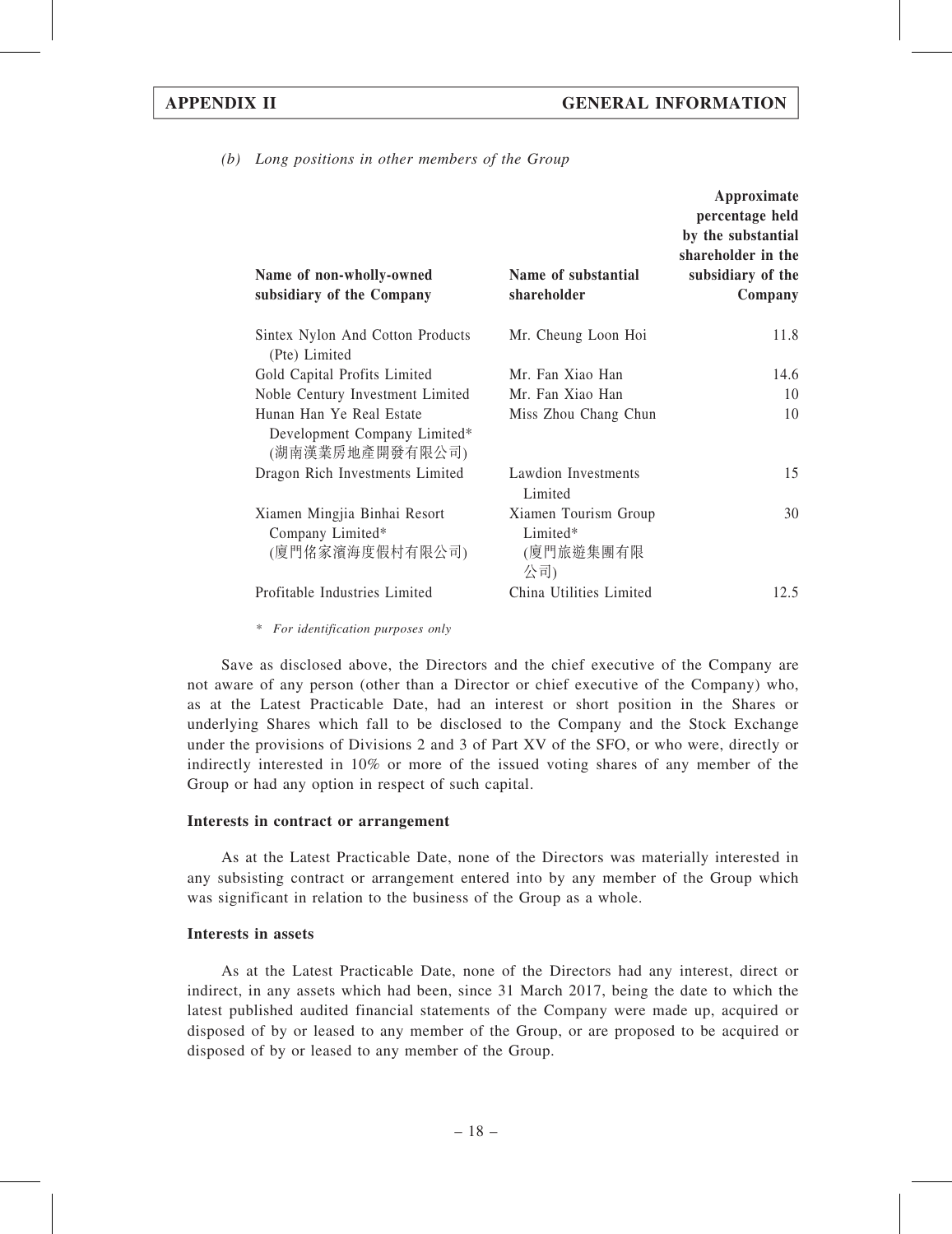(b) Long positions in other members of the Group

|                                                                             |                                                      | Approximate<br>percentage held<br>by the substantial<br>shareholder in the |
|-----------------------------------------------------------------------------|------------------------------------------------------|----------------------------------------------------------------------------|
| Name of non-wholly-owned<br>subsidiary of the Company                       | Name of substantial<br>shareholder                   | subsidiary of the<br>Company                                               |
| Sintex Nylon And Cotton Products<br>(Pte) Limited                           | Mr. Cheung Loon Hoi                                  | 11.8                                                                       |
| Gold Capital Profits Limited                                                | Mr. Fan Xiao Han                                     | 14.6                                                                       |
| Noble Century Investment Limited                                            | Mr. Fan Xiao Han                                     | 10                                                                         |
| Hunan Han Ye Real Estate<br>Development Company Limited*<br>(湖南漢業房地產開發有限公司) | Miss Zhou Chang Chun                                 | 10                                                                         |
| Dragon Rich Investments Limited                                             | Lawdion Investments<br>Limited                       | 15                                                                         |
| Xiamen Mingjia Binhai Resort<br>Company Limited*<br>(廈門佲家濱海度假村有限公司)         | Xiamen Tourism Group<br>Limited*<br>(廈門旅遊集團有限<br>公司) | 30                                                                         |
| Profitable Industries Limited                                               | China Utilities Limited                              | 12.5                                                                       |

\* For identification purposes only

Save as disclosed above, the Directors and the chief executive of the Company are not aware of any person (other than a Director or chief executive of the Company) who, as at the Latest Practicable Date, had an interest or short position in the Shares or underlying Shares which fall to be disclosed to the Company and the Stock Exchange under the provisions of Divisions 2 and 3 of Part XV of the SFO, or who were, directly or indirectly interested in 10% or more of the issued voting shares of any member of the Group or had any option in respect of such capital.

#### Interests in contract or arrangement

As at the Latest Practicable Date, none of the Directors was materially interested in any subsisting contract or arrangement entered into by any member of the Group which was significant in relation to the business of the Group as a whole.

### Interests in assets

As at the Latest Practicable Date, none of the Directors had any interest, direct or indirect, in any assets which had been, since 31 March 2017, being the date to which the latest published audited financial statements of the Company were made up, acquired or disposed of by or leased to any member of the Group, or are proposed to be acquired or disposed of by or leased to any member of the Group.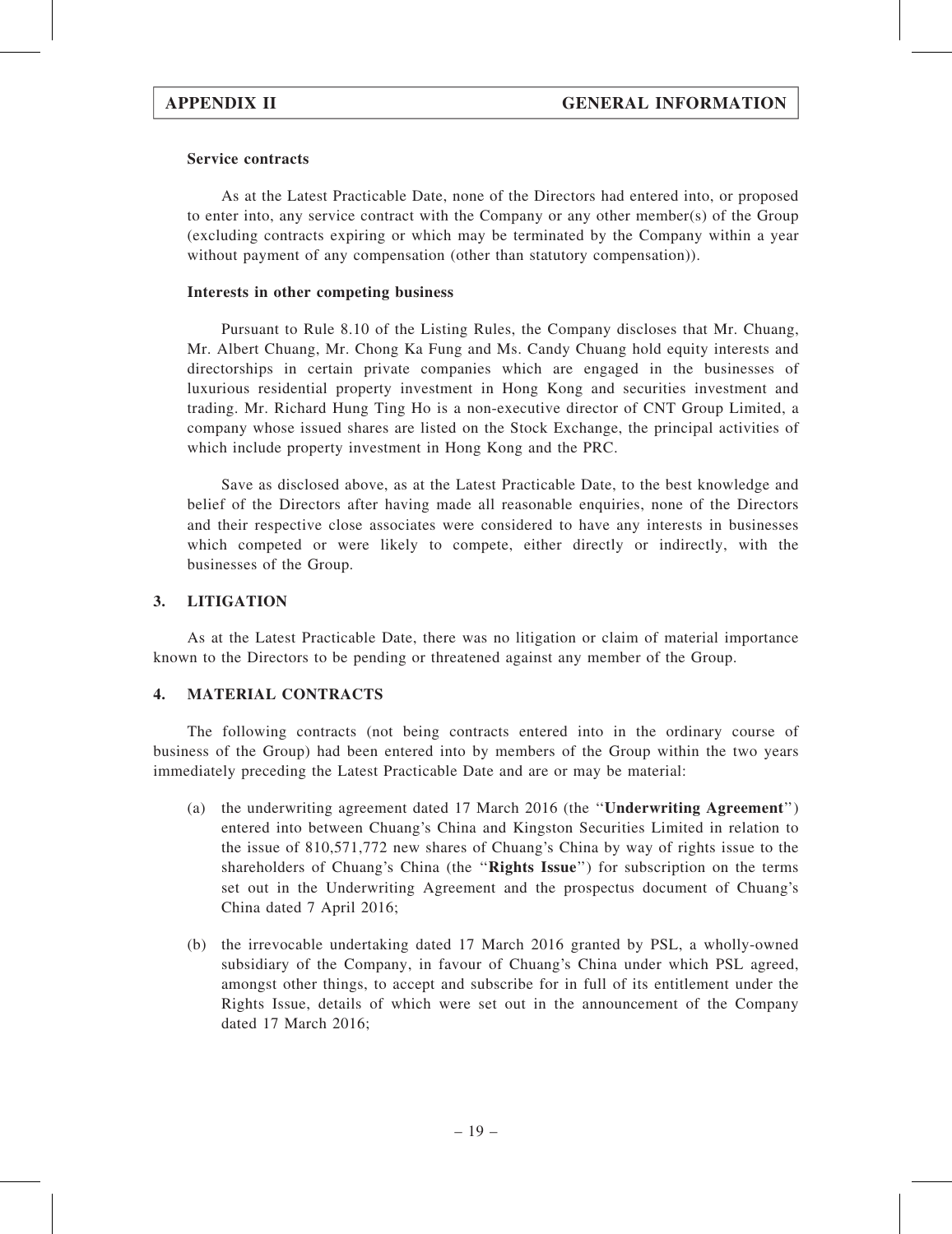#### Service contracts

As at the Latest Practicable Date, none of the Directors had entered into, or proposed to enter into, any service contract with the Company or any other member(s) of the Group (excluding contracts expiring or which may be terminated by the Company within a year without payment of any compensation (other than statutory compensation)).

#### Interests in other competing business

Pursuant to Rule 8.10 of the Listing Rules, the Company discloses that Mr. Chuang, Mr. Albert Chuang, Mr. Chong Ka Fung and Ms. Candy Chuang hold equity interests and directorships in certain private companies which are engaged in the businesses of luxurious residential property investment in Hong Kong and securities investment and trading. Mr. Richard Hung Ting Ho is a non-executive director of CNT Group Limited, a company whose issued shares are listed on the Stock Exchange, the principal activities of which include property investment in Hong Kong and the PRC.

Save as disclosed above, as at the Latest Practicable Date, to the best knowledge and belief of the Directors after having made all reasonable enquiries, none of the Directors and their respective close associates were considered to have any interests in businesses which competed or were likely to compete, either directly or indirectly, with the businesses of the Group.

#### 3. LITIGATION

As at the Latest Practicable Date, there was no litigation or claim of material importance known to the Directors to be pending or threatened against any member of the Group.

#### 4. MATERIAL CONTRACTS

The following contracts (not being contracts entered into in the ordinary course of business of the Group) had been entered into by members of the Group within the two years immediately preceding the Latest Practicable Date and are or may be material:

- (a) the underwriting agreement dated 17 March 2016 (the ''Underwriting Agreement'') entered into between Chuang's China and Kingston Securities Limited in relation to the issue of 810,571,772 new shares of Chuang's China by way of rights issue to the shareholders of Chuang's China (the "Rights Issue") for subscription on the terms set out in the Underwriting Agreement and the prospectus document of Chuang's China dated 7 April 2016;
- (b) the irrevocable undertaking dated 17 March 2016 granted by PSL, a wholly-owned subsidiary of the Company, in favour of Chuang's China under which PSL agreed, amongst other things, to accept and subscribe for in full of its entitlement under the Rights Issue, details of which were set out in the announcement of the Company dated 17 March 2016;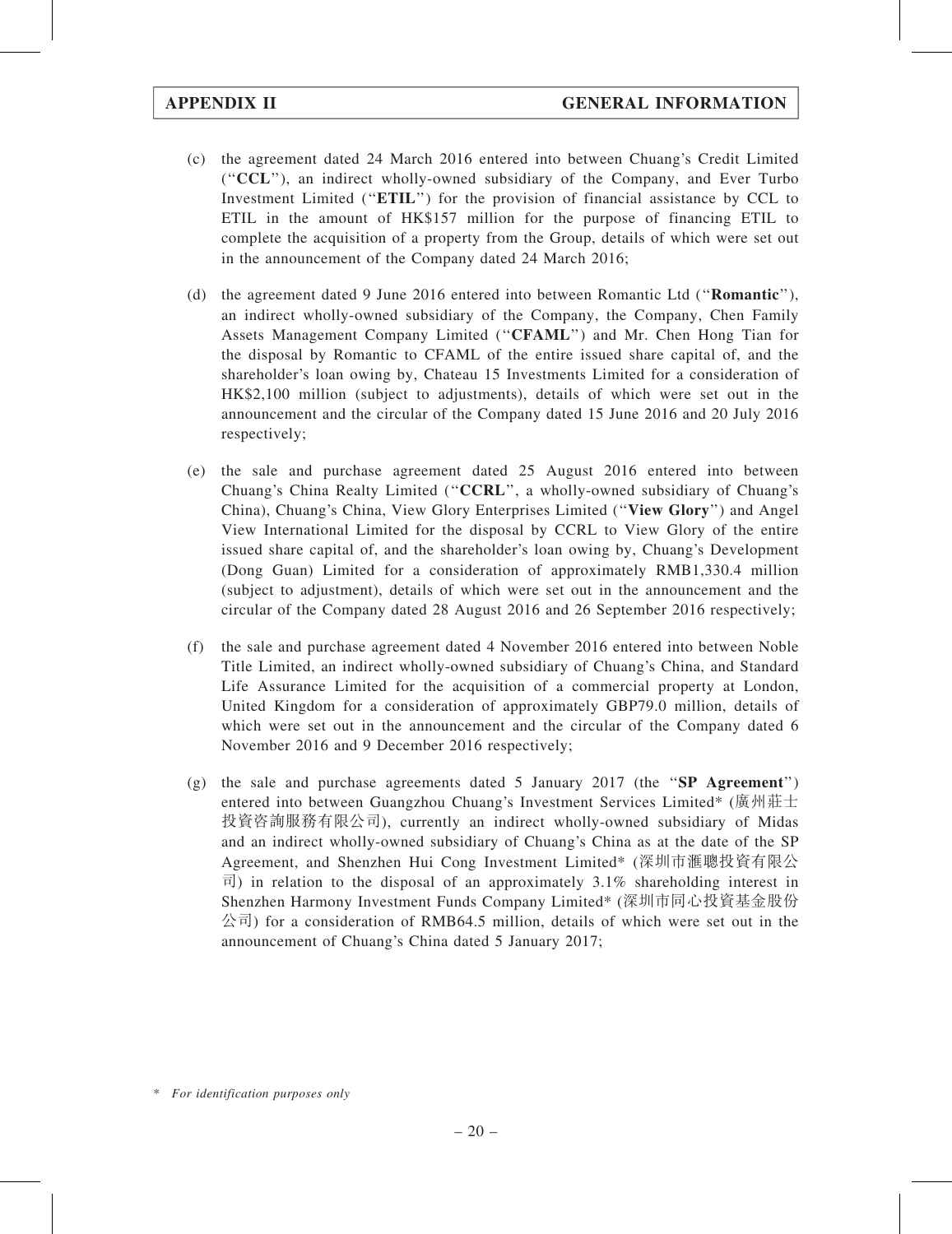- (c) the agreement dated 24 March 2016 entered into between Chuang's Credit Limited (''CCL''), an indirect wholly-owned subsidiary of the Company, and Ever Turbo Investment Limited (''ETIL'') for the provision of financial assistance by CCL to ETIL in the amount of HK\$157 million for the purpose of financing ETIL to complete the acquisition of a property from the Group, details of which were set out in the announcement of the Company dated 24 March 2016;
- (d) the agreement dated 9 June 2016 entered into between Romantic Ltd (''Romantic''), an indirect wholly-owned subsidiary of the Company, the Company, Chen Family Assets Management Company Limited (''CFAML'') and Mr. Chen Hong Tian for the disposal by Romantic to CFAML of the entire issued share capital of, and the shareholder's loan owing by, Chateau 15 Investments Limited for a consideration of HK\$2,100 million (subject to adjustments), details of which were set out in the announcement and the circular of the Company dated 15 June 2016 and 20 July 2016 respectively;
- (e) the sale and purchase agreement dated 25 August 2016 entered into between Chuang's China Realty Limited (''CCRL'', a wholly-owned subsidiary of Chuang's China), Chuang's China, View Glory Enterprises Limited (''View Glory'') and Angel View International Limited for the disposal by CCRL to View Glory of the entire issued share capital of, and the shareholder's loan owing by, Chuang's Development (Dong Guan) Limited for a consideration of approximately RMB1,330.4 million (subject to adjustment), details of which were set out in the announcement and the circular of the Company dated 28 August 2016 and 26 September 2016 respectively;
- (f) the sale and purchase agreement dated 4 November 2016 entered into between Noble Title Limited, an indirect wholly-owned subsidiary of Chuang's China, and Standard Life Assurance Limited for the acquisition of a commercial property at London, United Kingdom for a consideration of approximately GBP79.0 million, details of which were set out in the announcement and the circular of the Company dated 6 November 2016 and 9 December 2016 respectively;
- (g) the sale and purchase agreements dated 5 January 2017 (the " $SP$  Agreement") entered into between Guangzhou Chuang's Investment Services Limited\* (廣州莊士 投資咨詢服務有限公司), currently an indirect wholly-owned subsidiary of Midas and an indirect wholly-owned subsidiary of Chuang's China as at the date of the SP Agreement, and Shenzhen Hui Cong Investment Limited\* (深圳市滙聰投資有限公 司) in relation to the disposal of an approximately  $3.1\%$  shareholding interest in Shenzhen Harmony Investment Funds Company Limited\* (深圳市同心投資基金股份  $\langle \hat{\triangle} \vec{\pi} \rangle$  for a consideration of RMB64.5 million, details of which were set out in the announcement of Chuang's China dated 5 January 2017;

<sup>\*</sup> For identification purposes only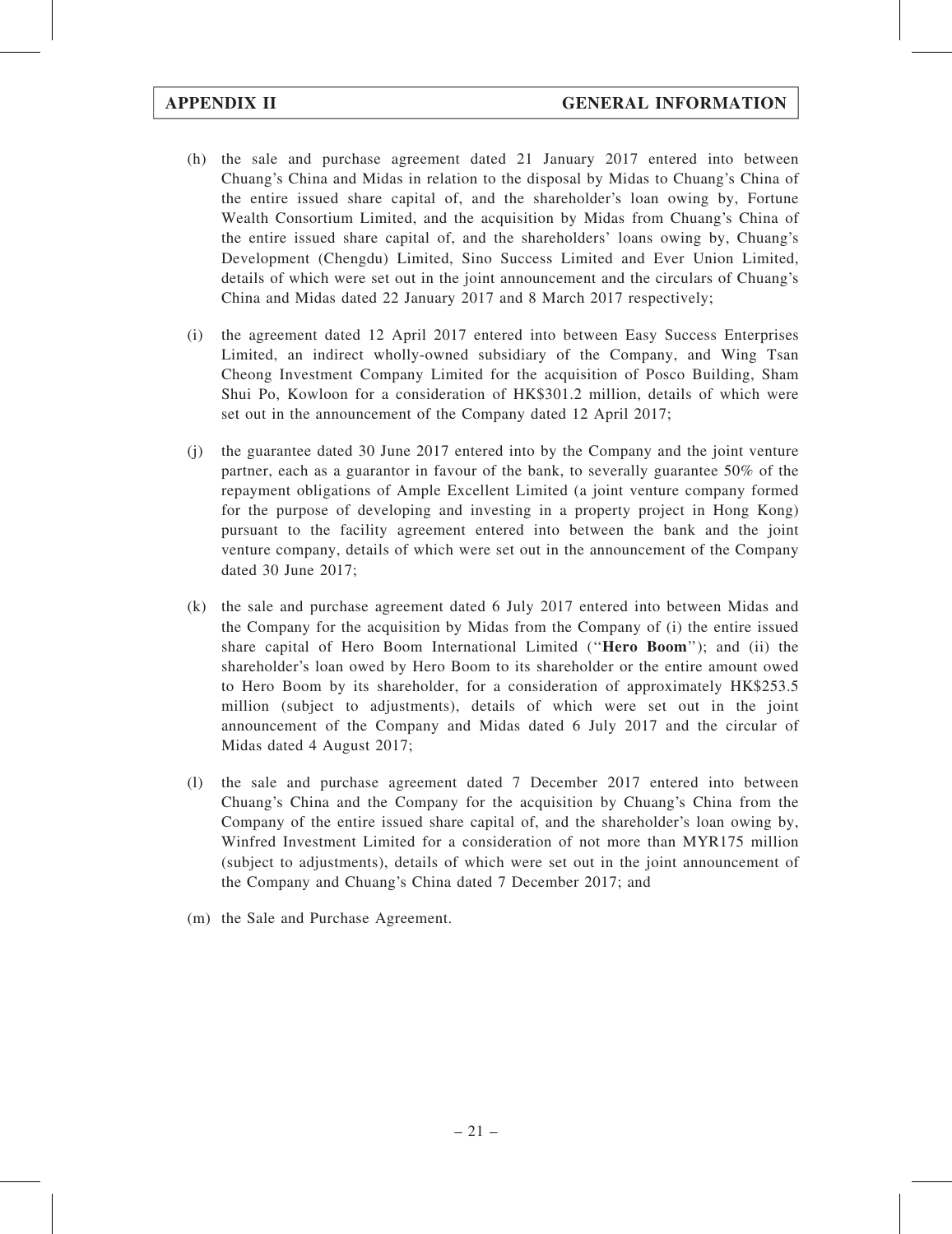- (h) the sale and purchase agreement dated 21 January 2017 entered into between Chuang's China and Midas in relation to the disposal by Midas to Chuang's China of the entire issued share capital of, and the shareholder's loan owing by, Fortune Wealth Consortium Limited, and the acquisition by Midas from Chuang's China of the entire issued share capital of, and the shareholders' loans owing by, Chuang's Development (Chengdu) Limited, Sino Success Limited and Ever Union Limited, details of which were set out in the joint announcement and the circulars of Chuang's China and Midas dated 22 January 2017 and 8 March 2017 respectively;
- (i) the agreement dated 12 April 2017 entered into between Easy Success Enterprises Limited, an indirect wholly-owned subsidiary of the Company, and Wing Tsan Cheong Investment Company Limited for the acquisition of Posco Building, Sham Shui Po, Kowloon for a consideration of HK\$301.2 million, details of which were set out in the announcement of the Company dated 12 April 2017;
- (j) the guarantee dated 30 June 2017 entered into by the Company and the joint venture partner, each as a guarantor in favour of the bank, to severally guarantee 50% of the repayment obligations of Ample Excellent Limited (a joint venture company formed for the purpose of developing and investing in a property project in Hong Kong) pursuant to the facility agreement entered into between the bank and the joint venture company, details of which were set out in the announcement of the Company dated 30 June 2017;
- (k) the sale and purchase agreement dated 6 July 2017 entered into between Midas and the Company for the acquisition by Midas from the Company of (i) the entire issued share capital of Hero Boom International Limited ("Hero Boom"); and (ii) the shareholder's loan owed by Hero Boom to its shareholder or the entire amount owed to Hero Boom by its shareholder, for a consideration of approximately HK\$253.5 million (subject to adjustments), details of which were set out in the joint announcement of the Company and Midas dated 6 July 2017 and the circular of Midas dated 4 August 2017;
- (l) the sale and purchase agreement dated 7 December 2017 entered into between Chuang's China and the Company for the acquisition by Chuang's China from the Company of the entire issued share capital of, and the shareholder's loan owing by, Winfred Investment Limited for a consideration of not more than MYR175 million (subject to adjustments), details of which were set out in the joint announcement of the Company and Chuang's China dated 7 December 2017; and
- (m) the Sale and Purchase Agreement.